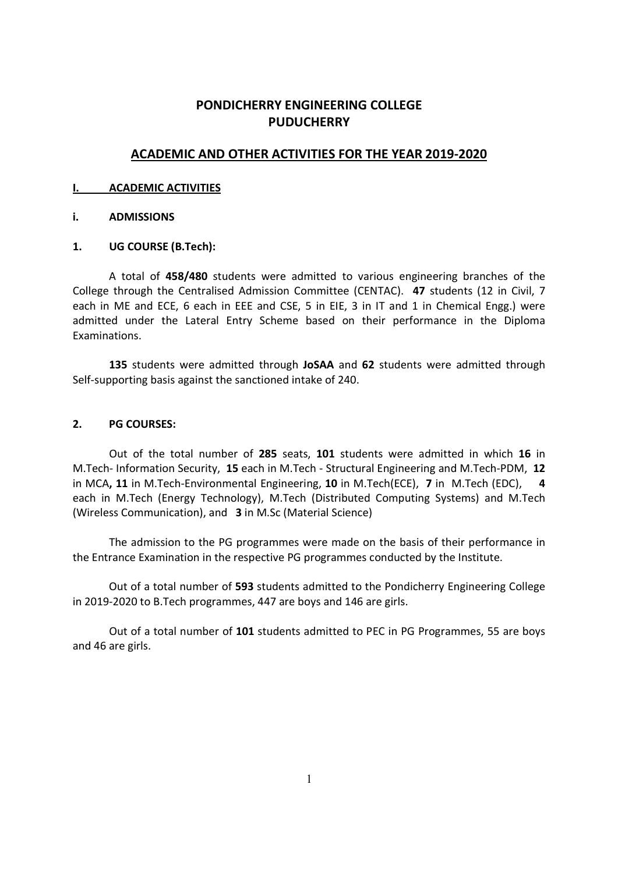# PONDICHERRY ENGINEERING COLLEGE **PUDUCHERRY**

# ACADEMIC AND OTHER ACTIVITIES FOR THE YEAR 2019-2020

## I. ACADEMIC ACTIVITIES

## i. ADMISSIONS

# 1. UG COURSE (B.Tech):

 A total of 458/480 students were admitted to various engineering branches of the College through the Centralised Admission Committee (CENTAC). 47 students (12 in Civil, 7 each in ME and ECE, 6 each in EEE and CSE, 5 in EIE, 3 in IT and 1 in Chemical Engg.) were admitted under the Lateral Entry Scheme based on their performance in the Diploma Examinations.

135 students were admitted through JoSAA and 62 students were admitted through Self-supporting basis against the sanctioned intake of 240.

# 2. PG COURSES:

Out of the total number of 285 seats, 101 students were admitted in which 16 in M.Tech- Information Security, 15 each in M.Tech - Structural Engineering and M.Tech-PDM, 12 in MCA, 11 in M.Tech-Environmental Engineering, 10 in M.Tech(ECE), 7 in M.Tech (EDC), each in M.Tech (Energy Technology), M.Tech (Distributed Computing Systems) and M.Tech (Wireless Communication), and 3 in M.Sc (Material Science)

 The admission to the PG programmes were made on the basis of their performance in the Entrance Examination in the respective PG programmes conducted by the Institute.

 Out of a total number of 593 students admitted to the Pondicherry Engineering College in 2019-2020 to B.Tech programmes, 447 are boys and 146 are girls.

Out of a total number of 101 students admitted to PEC in PG Programmes, 55 are boys and 46 are girls.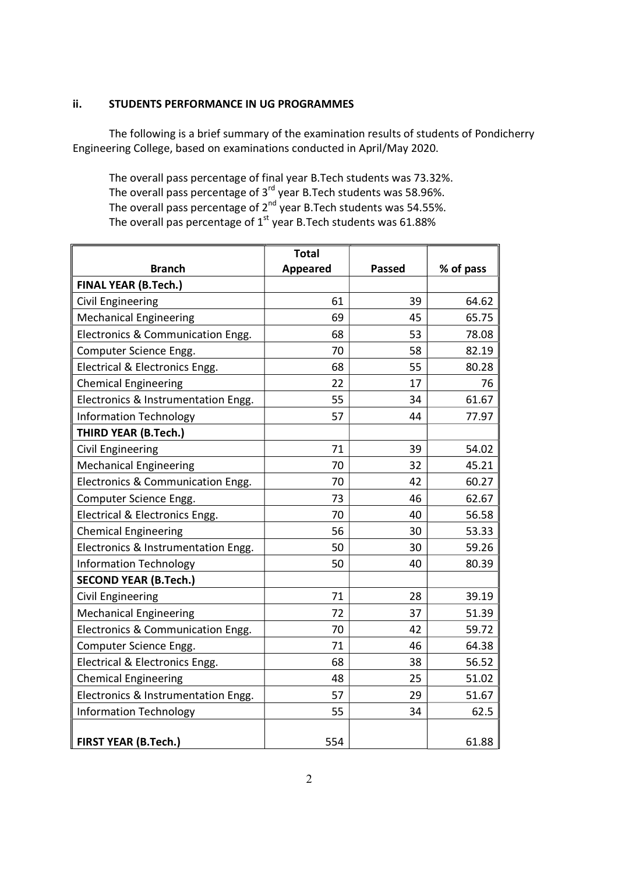# ii. STUDENTS PERFORMANCE IN UG PROGRAMMES

 The following is a brief summary of the examination results of students of Pondicherry Engineering College, based on examinations conducted in April/May 2020.

 The overall pass percentage of final year B.Tech students was 73.32%. The overall pass percentage of  $3<sup>rd</sup>$  year B.Tech students was 58.96%. The overall pass percentage of  $2^{nd}$  year B.Tech students was 54.55%. The overall pas percentage of  $1<sup>st</sup>$  year B.Tech students was 61.88%

|                                     | <b>Total</b>    |               |           |
|-------------------------------------|-----------------|---------------|-----------|
| <b>Branch</b>                       | <b>Appeared</b> | <b>Passed</b> | % of pass |
| <b>FINAL YEAR (B.Tech.)</b>         |                 |               |           |
| <b>Civil Engineering</b>            | 61              | 39            | 64.62     |
| <b>Mechanical Engineering</b>       | 69              | 45            | 65.75     |
| Electronics & Communication Engg.   | 68              | 53            | 78.08     |
| Computer Science Engg.              | 70              | 58            | 82.19     |
| Electrical & Electronics Engg.      | 68              | 55            | 80.28     |
| <b>Chemical Engineering</b>         | 22              | 17            | 76        |
| Electronics & Instrumentation Engg. | 55              | 34            | 61.67     |
| <b>Information Technology</b>       | 57              | 44            | 77.97     |
| <b>THIRD YEAR (B.Tech.)</b>         |                 |               |           |
| <b>Civil Engineering</b>            | 71              | 39            | 54.02     |
| <b>Mechanical Engineering</b>       | 70              | 32            | 45.21     |
| Electronics & Communication Engg.   | 70              | 42            | 60.27     |
| Computer Science Engg.              | 73              | 46            | 62.67     |
| Electrical & Electronics Engg.      | 70              | 40            | 56.58     |
| <b>Chemical Engineering</b>         | 56              | 30            | 53.33     |
| Electronics & Instrumentation Engg. | 50              | 30            | 59.26     |
| <b>Information Technology</b>       | 50              | 40            | 80.39     |
| <b>SECOND YEAR (B.Tech.)</b>        |                 |               |           |
| <b>Civil Engineering</b>            | 71              | 28            | 39.19     |
| <b>Mechanical Engineering</b>       | 72              | 37            | 51.39     |
| Electronics & Communication Engg.   | 70              | 42            | 59.72     |
| Computer Science Engg.              | 71              | 46            | 64.38     |
| Electrical & Electronics Engg.      | 68              | 38            | 56.52     |
| <b>Chemical Engineering</b>         | 48              | 25            | 51.02     |
| Electronics & Instrumentation Engg. | 57              | 29            | 51.67     |
| <b>Information Technology</b>       | 55              | 34            | 62.5      |
|                                     |                 |               |           |
| <b>FIRST YEAR (B.Tech.)</b>         | 554             |               | 61.88     |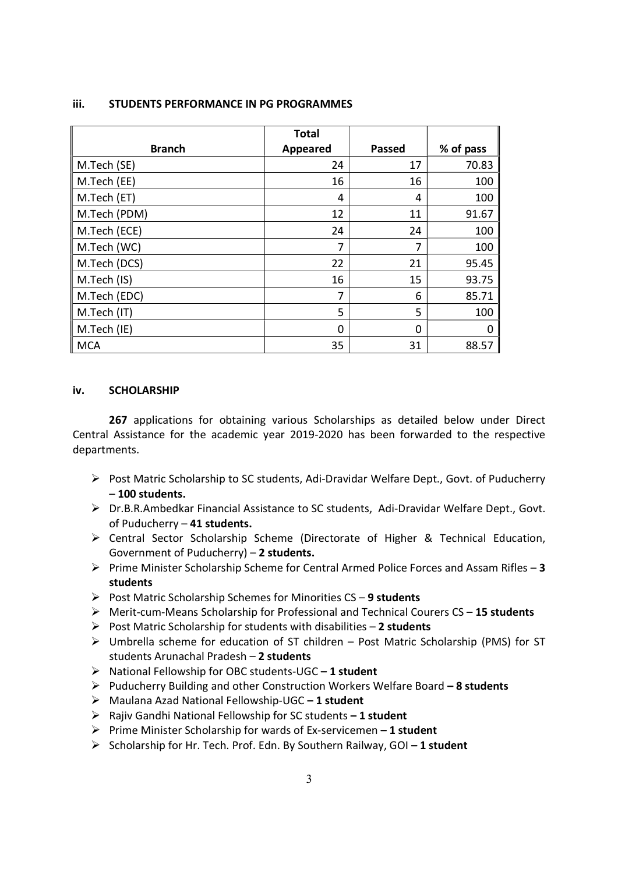|               | <b>Total</b> |               |           |
|---------------|--------------|---------------|-----------|
| <b>Branch</b> | Appeared     | <b>Passed</b> | % of pass |
| M.Tech (SE)   | 24           | 17            | 70.83     |
| M.Tech (EE)   | 16           | 16            | 100       |
| M.Tech (ET)   | 4            | 4             | 100       |
| M.Tech (PDM)  | 12           | 11            | 91.67     |
| M.Tech (ECE)  | 24           | 24            | 100       |
| M.Tech (WC)   | 7            | 7             | 100       |
| M.Tech (DCS)  | 22           | 21            | 95.45     |
| M.Tech (IS)   | 16           | 15            | 93.75     |
| M.Tech (EDC)  | 7            | 6             | 85.71     |
| M.Tech (IT)   | 5            | 5             | 100       |
| M.Tech (IE)   | 0            | 0             | 0         |
| <b>MCA</b>    | 35           | 31            | 88.57     |

#### iii. STUDENTS PERFORMANCE IN PG PROGRAMMES

### iv. SCHOLARSHIP

267 applications for obtaining various Scholarships as detailed below under Direct Central Assistance for the academic year 2019-2020 has been forwarded to the respective departments.

- $\triangleright$  Post Matric Scholarship to SC students, Adi-Dravidar Welfare Dept., Govt. of Puducherry – 100 students.
- Dr.B.R.Ambedkar Financial Assistance to SC students, Adi-Dravidar Welfare Dept., Govt. of Puducherry – 41 students.
- Central Sector Scholarship Scheme (Directorate of Higher & Technical Education, Government of Puducherry) – 2 students.
- $\triangleright$  Prime Minister Scholarship Scheme for Central Armed Police Forces and Assam Rifles 3 students
- Post Matric Scholarship Schemes for Minorities  $CS 9$  students
- Merit-cum-Means Scholarship for Professional and Technical Courers CS 15 students
- Post Matric Scholarship for students with disabilities  $-2$  students
- $\triangleright$  Umbrella scheme for education of ST children Post Matric Scholarship (PMS) for ST students Arunachal Pradesh – 2 students
- $\triangleright$  National Fellowship for OBC students-UGC 1 student
- Puducherry Building and other Construction Workers Welfare Board  $-8$  students
- $\triangleright$  Maulana Azad National Fellowship-UGC 1 student
- $\triangleright$  Rajiv Gandhi National Fellowship for SC students 1 student
- Prime Minister Scholarship for wards of Ex-servicemen  $-1$  student
- Scholarship for Hr. Tech. Prof. Edn. By Southern Railway, GOI  $-1$  student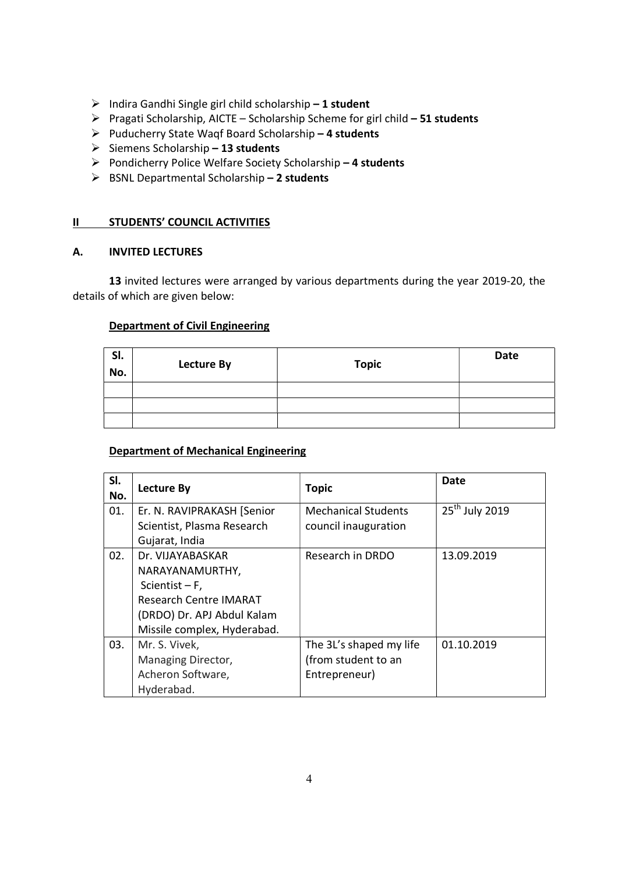- $\triangleright$  Indira Gandhi Single girl child scholarship 1 student
- Pragati Scholarship, AICTE Scholarship Scheme for girl child 51 students
- Puducherry State Waqf Board Scholarship 4 students
- $\triangleright$  Siemens Scholarship 13 students
- $\triangleright$  Pondicherry Police Welfare Society Scholarship 4 students
- $\triangleright$  BSNL Departmental Scholarship 2 students

# II STUDENTS' COUNCIL ACTIVITIES

# A. INVITED LECTURES

 13 invited lectures were arranged by various departments during the year 2019-20, the details of which are given below:

# Department of Civil Engineering

| SI.<br>No. | Lecture By | <b>Topic</b> | <b>Date</b> |
|------------|------------|--------------|-------------|
|            |            |              |             |
|            |            |              |             |
|            |            |              |             |

# Department of Mechanical Engineering

| SI.<br>No. | <b>Lecture By</b>             | <b>Topic</b>               | Date                       |
|------------|-------------------------------|----------------------------|----------------------------|
| 01.        | Er. N. RAVIPRAKASH [Senior    | <b>Mechanical Students</b> | 25 <sup>th</sup> July 2019 |
|            | Scientist, Plasma Research    | council inauguration       |                            |
|            | Gujarat, India                |                            |                            |
| 02.        | Dr. VIJAYABASKAR              | Research in DRDO           | 13.09.2019                 |
|            | NARAYANAMURTHY,               |                            |                            |
|            | Scientist $-F$ ,              |                            |                            |
|            | <b>Research Centre IMARAT</b> |                            |                            |
|            | (DRDO) Dr. APJ Abdul Kalam    |                            |                            |
|            | Missile complex, Hyderabad.   |                            |                            |
| 03.        | Mr. S. Vivek,                 | The 3L's shaped my life    | 01.10.2019                 |
|            | Managing Director,            | (from student to an        |                            |
|            | Acheron Software,             | Entrepreneur)              |                            |
|            | Hyderabad.                    |                            |                            |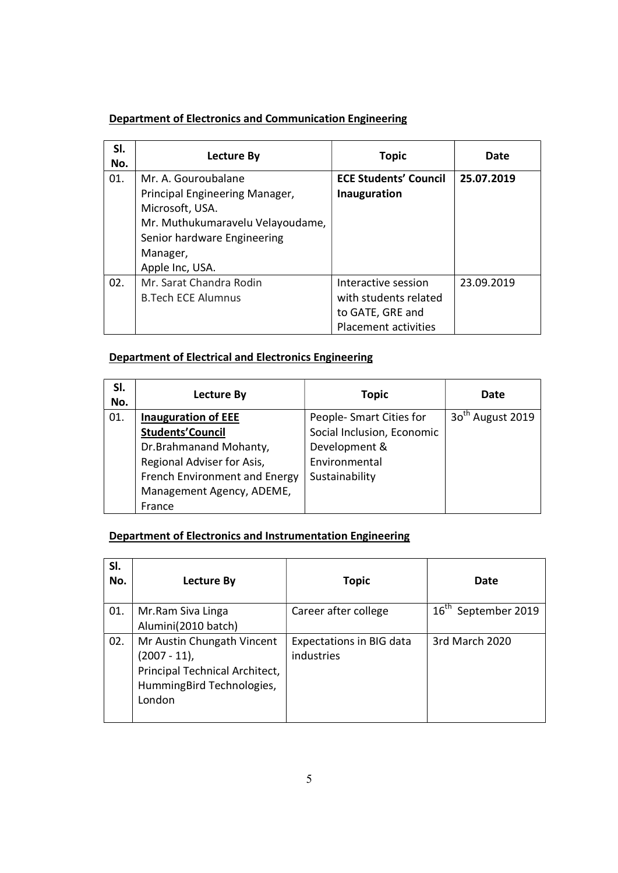# Department of Electronics and Communication Engineering

| SI.<br>No. | Lecture By                       | <b>Topic</b>                 | Date       |
|------------|----------------------------------|------------------------------|------------|
| 01.        | Mr. A. Gouroubalane              | <b>ECE Students' Council</b> | 25.07.2019 |
|            | Principal Engineering Manager,   | Inauguration                 |            |
|            | Microsoft, USA.                  |                              |            |
|            | Mr. Muthukumaravelu Velayoudame, |                              |            |
|            | Senior hardware Engineering      |                              |            |
|            | Manager,                         |                              |            |
|            | Apple Inc, USA.                  |                              |            |
| 02.        | Mr. Sarat Chandra Rodin          | Interactive session          | 23.09.2019 |
|            | <b>B.Tech ECE Alumnus</b>        | with students related        |            |
|            |                                  | to GATE, GRE and             |            |
|            |                                  | Placement activities         |            |

# Department of Electrical and Electronics Engineering

| SI.<br>No. | Lecture By                    | <b>Topic</b>               | Date                         |
|------------|-------------------------------|----------------------------|------------------------------|
| 01.        | <b>Inauguration of EEE</b>    | People- Smart Cities for   | 30 <sup>th</sup> August 2019 |
|            | <b>Students' Council</b>      | Social Inclusion, Economic |                              |
|            | Dr.Brahmanand Mohanty,        | Development &              |                              |
|            | Regional Adviser for Asis,    | Environmental              |                              |
|            | French Environment and Energy | Sustainability             |                              |
|            | Management Agency, ADEME,     |                            |                              |
|            | France                        |                            |                              |

# Department of Electronics and Instrumentation Engineering

| SI.<br>No. | Lecture By                                                                                                          | Topic                                         | Date                            |
|------------|---------------------------------------------------------------------------------------------------------------------|-----------------------------------------------|---------------------------------|
| 01.        | Mr.Ram Siva Linga<br>Alumini(2010 batch)                                                                            | Career after college                          | 16 <sup>th</sup> September 2019 |
| 02.        | Mr Austin Chungath Vincent<br>(2007 - 11),<br>Principal Technical Architect,<br>HummingBird Technologies,<br>London | <b>Expectations in BIG data</b><br>industries | 3rd March 2020                  |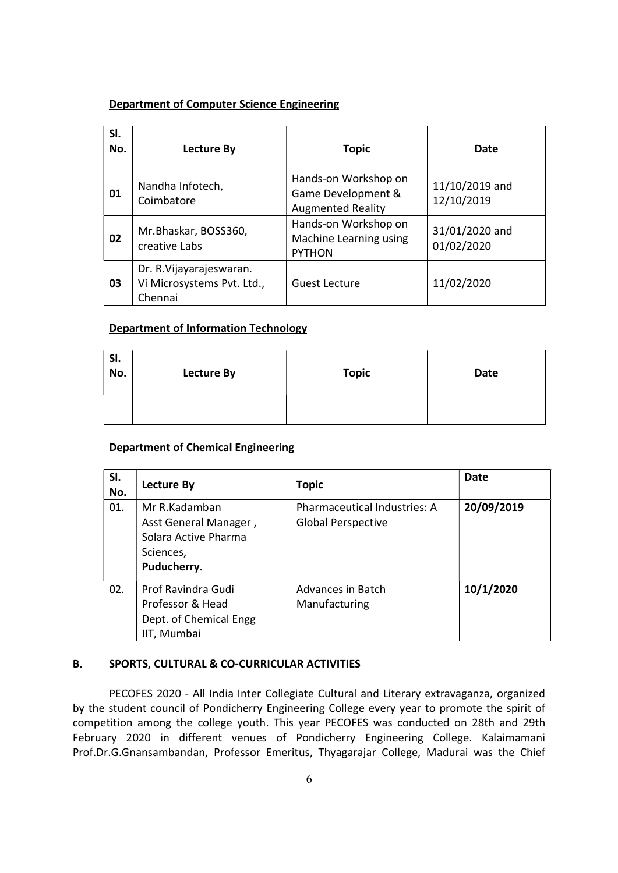# Department of Computer Science Engineering

| SI.<br>No. | Lecture By                                                        | <b>Topic</b>                                                           | Date                         |
|------------|-------------------------------------------------------------------|------------------------------------------------------------------------|------------------------------|
| 01         | Nandha Infotech,<br>Coimbatore                                    | Hands-on Workshop on<br>Game Development &<br><b>Augmented Reality</b> | 11/10/2019 and<br>12/10/2019 |
| 02         | Mr.Bhaskar, BOSS360,<br>creative Labs                             | Hands-on Workshop on<br>Machine Learning using<br><b>PYTHON</b>        | 31/01/2020 and<br>01/02/2020 |
| 03         | Dr. R. Vijayarajeswaran.<br>Vi Microsystems Pvt. Ltd.,<br>Chennai | <b>Guest Lecture</b>                                                   | 11/02/2020                   |

# Department of Information Technology

| SI.<br>No. | Lecture By | <b>Topic</b> | <b>Date</b> |
|------------|------------|--------------|-------------|
|            |            |              |             |

# Department of Chemical Engineering

| SI.<br>No. | <b>Lecture By</b>                                                                          | <b>Topic</b>                                                     | Date       |
|------------|--------------------------------------------------------------------------------------------|------------------------------------------------------------------|------------|
| 01.        | Mr R.Kadamban<br>Asst General Manager,<br>Solara Active Pharma<br>Sciences,<br>Puducherry. | <b>Pharmaceutical Industries: A</b><br><b>Global Perspective</b> | 20/09/2019 |
| 02.        | Prof Ravindra Gudi<br>Professor & Head<br>Dept. of Chemical Engg<br>IIT, Mumbai            | Advances in Batch<br>Manufacturing                               | 10/1/2020  |

# B. SPORTS, CULTURAL & CO-CURRICULAR ACTIVITIES

PECOFES 2020 - All India Inter Collegiate Cultural and Literary extravaganza, organized by the student council of Pondicherry Engineering College every year to promote the spirit of competition among the college youth. This year PECOFES was conducted on 28th and 29th February 2020 in different venues of Pondicherry Engineering College. Kalaimamani Prof.Dr.G.Gnansambandan, Professor Emeritus, Thyagarajar College, Madurai was the Chief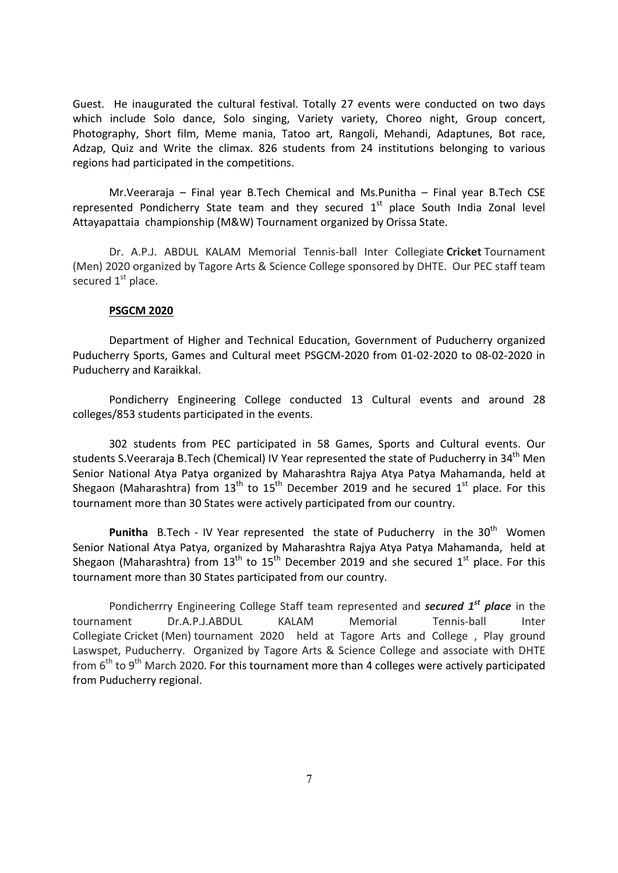Guest. He inaugurated the cultural festival. Totally 27 events were conducted on two days which include Solo dance, Solo singing, Variety variety, Choreo night, Group concert, Photography, Short film, Meme mania, Tatoo art, Rangoli, Mehandi, Adaptunes, Bot race, Adzap, Quiz and Write the climax. 826 students from 24 institutions belonging to various regions had participated in the competitions.

 Mr.Veeraraja – Final year B.Tech Chemical and Ms.Punitha – Final year B.Tech CSE represented Pondicherry State team and they secured  $1<sup>st</sup>$  place South India Zonal level Attayapattaia championship (M&W) Tournament organized by Orissa State.

Dr. A.P.J. ABDUL KALAM Memorial Tennis-ball Inter Collegiate Cricket Tournament (Men) 2020 organized by Tagore Arts & Science College sponsored by DHTE. Our PEC staff team secured  $1<sup>st</sup>$  place.

#### PSGCM 2020

Department of Higher and Technical Education, Government of Puducherry organized Puducherry Sports, Games and Cultural meet PSGCM-2020 from 01-02-2020 to 08-02-2020 in Puducherry and Karaikkal.

Pondicherry Engineering College conducted 13 Cultural events and around 28 colleges/853 students participated in the events.

302 students from PEC participated in 58 Games, Sports and Cultural events. Our students S.Veeraraja B.Tech (Chemical) IV Year represented the state of Puducherry in 34<sup>th</sup> Men Senior National Atya Patya organized by Maharashtra Rajya Atya Patya Mahamanda, held at Shegaon (Maharashtra) from  $13<sup>th</sup>$  to  $15<sup>th</sup>$  December 2019 and he secured  $1<sup>st</sup>$  place. For this tournament more than 30 States were actively participated from our country.

**Punitha** B.Tech - IV Year represented the state of Puducherry in the  $30<sup>th</sup>$  Women Senior National Atya Patya, organized by Maharashtra Rajya Atya Patya Mahamanda, held at Shegaon (Maharashtra) from  $13<sup>th</sup>$  to  $15<sup>th</sup>$  December 2019 and she secured  $1<sup>st</sup>$  place. For this tournament more than 30 States participated from our country.

Pondicherrry Engineering College Staff team represented and **secured 1<sup>st</sup> place** in the tournament Dr.A.P.J.ABDUL KALAM Memorial Tennis-ball Inter Collegiate Cricket (Men) tournament 2020 held at Tagore Arts and College , Play ground Laswspet, Puducherry. Organized by Tagore Arts & Science College and associate with DHTE from  $6<sup>th</sup>$  to 9<sup>th</sup> March 2020. For this tournament more than 4 colleges were actively participated from Puducherry regional.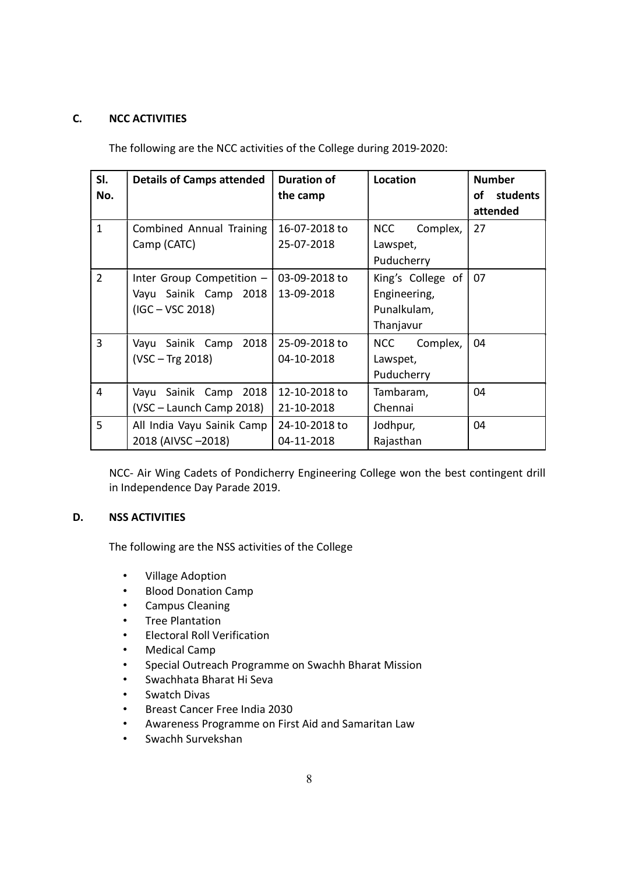# C. NCC ACTIVITIES

The following are the NCC activities of the College during 2019-2020:

| SI.            | <b>Details of Camps attended</b>                                         | <b>Duration of</b>          | Location                                                      | <b>Number</b>              |
|----------------|--------------------------------------------------------------------------|-----------------------------|---------------------------------------------------------------|----------------------------|
| No.            |                                                                          | the camp                    |                                                               | of<br>students<br>attended |
| $\mathbf{1}$   | <b>Combined Annual Training</b><br>Camp (CATC)                           | 16-07-2018 to<br>25-07-2018 | <b>NCC</b><br>Complex,<br>Lawspet,<br>Puducherry              | 27                         |
| $\overline{2}$ | Inter Group Competition -<br>Vayu Sainik Camp 2018<br>$(IGC - VSC 2018)$ | 03-09-2018 to<br>13-09-2018 | King's College of<br>Engineering,<br>Punalkulam,<br>Thanjavur | 07                         |
| $\overline{3}$ | 2018<br>Vayu Sainik Camp<br>$(VSC - Trg 2018)$                           | 25-09-2018 to<br>04-10-2018 | Complex,<br><b>NCC</b><br>Lawspet,<br>Puducherry              | 04                         |
| $\overline{4}$ | Vayu Sainik Camp 2018<br>(VSC - Launch Camp 2018)                        | 12-10-2018 to<br>21-10-2018 | Tambaram,<br>Chennai                                          | 04                         |
| 5              | All India Vayu Sainik Camp<br>2018 (AIVSC-2018)                          | 24-10-2018 to<br>04-11-2018 | Jodhpur,<br>Rajasthan                                         | 04                         |

NCC- Air Wing Cadets of Pondicherry Engineering College won the best contingent drill in Independence Day Parade 2019.

# D. NSS ACTIVITIES

The following are the NSS activities of the College

- Village Adoption
- Blood Donation Camp
- Campus Cleaning
- Tree Plantation
- Electoral Roll Verification
- Medical Camp
- Special Outreach Programme on Swachh Bharat Mission
- Swachhata Bharat Hi Seva
- Swatch Divas
- Breast Cancer Free India 2030
- Awareness Programme on First Aid and Samaritan Law
- Swachh Survekshan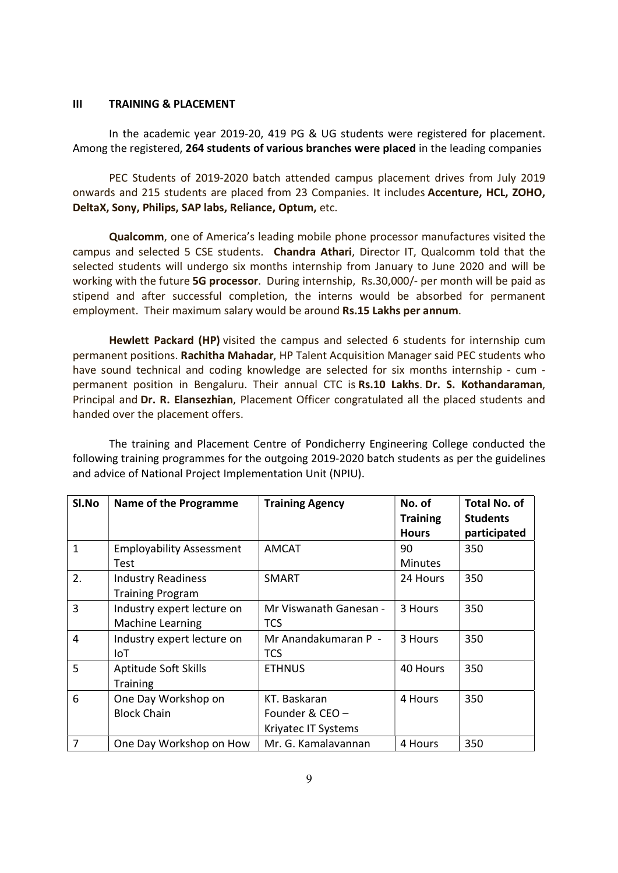#### III TRAINING & PLACEMENT

 In the academic year 2019-20, 419 PG & UG students were registered for placement. Among the registered, 264 students of various branches were placed in the leading companies

 PEC Students of 2019-2020 batch attended campus placement drives from July 2019 onwards and 215 students are placed from 23 Companies. It includes Accenture, HCL, ZOHO, DeltaX, Sony, Philips, SAP labs, Reliance, Optum, etc.

Qualcomm, one of America's leading mobile phone processor manufactures visited the campus and selected 5 CSE students. Chandra Athari, Director IT, Qualcomm told that the selected students will undergo six months internship from January to June 2020 and will be working with the future 5G processor. During internship, Rs.30,000/- per month will be paid as stipend and after successful completion, the interns would be absorbed for permanent employment. Their maximum salary would be around Rs.15 Lakhs per annum.

Hewlett Packard (HP) visited the campus and selected 6 students for internship cum permanent positions. Rachitha Mahadar, HP Talent Acquisition Manager said PEC students who have sound technical and coding knowledge are selected for six months internship - cum permanent position in Bengaluru. Their annual CTC is Rs.10 Lakhs. Dr. S. Kothandaraman, Principal and Dr. R. Elansezhian, Placement Officer congratulated all the placed students and handed over the placement offers.

The training and Placement Centre of Pondicherry Engineering College conducted the following training programmes for the outgoing 2019-2020 batch students as per the guidelines and advice of National Project Implementation Unit (NPIU).

| Sl.No          | <b>Name of the Programme</b>    | <b>Training Agency</b> | No. of          | <b>Total No. of</b> |
|----------------|---------------------------------|------------------------|-----------------|---------------------|
|                |                                 |                        | <b>Training</b> | <b>Students</b>     |
|                |                                 |                        | <b>Hours</b>    | participated        |
| $\mathbf{1}$   | <b>Employability Assessment</b> | <b>AMCAT</b>           | 90              | 350                 |
|                | <b>Test</b>                     |                        | <b>Minutes</b>  |                     |
| 2.             | <b>Industry Readiness</b>       | <b>SMART</b>           | 24 Hours        | 350                 |
|                | <b>Training Program</b>         |                        |                 |                     |
| $\overline{3}$ | Industry expert lecture on      | Mr Viswanath Ganesan - | 3 Hours         | 350                 |
|                | <b>Machine Learning</b>         | TCS                    |                 |                     |
| $\overline{4}$ | Industry expert lecture on      | Mr Anandakumaran P -   | 3 Hours         | 350                 |
|                | IoT                             | TCS                    |                 |                     |
| 5              | Aptitude Soft Skills            | <b>ETHNUS</b>          | 40 Hours        | 350                 |
|                | <b>Training</b>                 |                        |                 |                     |
| 6              | One Day Workshop on             | KT. Baskaran           | 4 Hours         | 350                 |
|                | <b>Block Chain</b>              | Founder & CEO -        |                 |                     |
|                |                                 | Kriyatec IT Systems    |                 |                     |
| $\overline{7}$ | One Day Workshop on How         | Mr. G. Kamalavannan    | 4 Hours         | 350                 |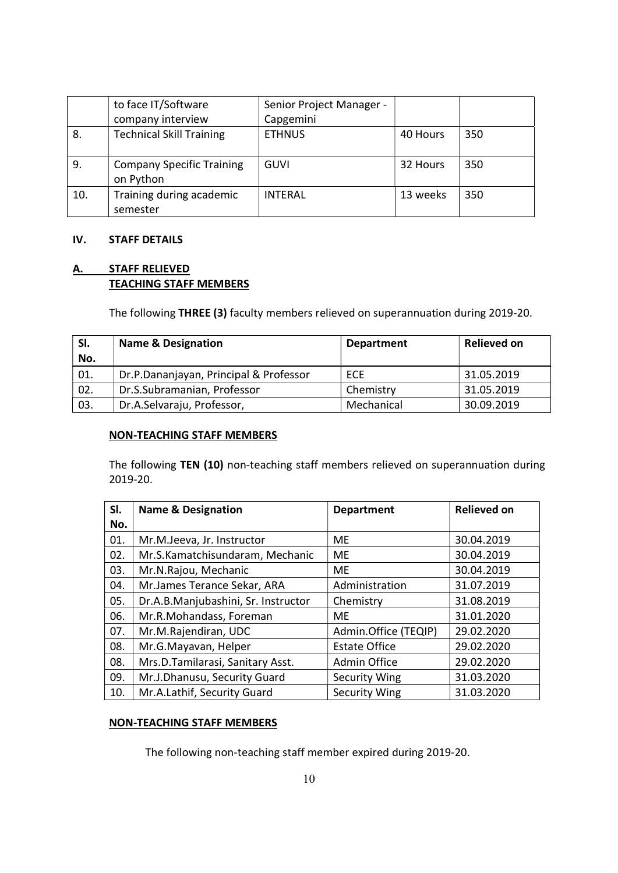|     | to face IT/Software                           | Senior Project Manager - |          |     |
|-----|-----------------------------------------------|--------------------------|----------|-----|
|     | company interview                             | Capgemini                |          |     |
| 8.  | <b>Technical Skill Training</b>               | <b>ETHNUS</b>            | 40 Hours | 350 |
| 9.  | <b>Company Specific Training</b><br>on Python | GUVI                     | 32 Hours | 350 |
| 10. | Training during academic<br>semester          | <b>INTERAL</b>           | 13 weeks | 350 |

# IV. STAFF DETAILS

# A. STAFF RELIEVED TEACHING STAFF MEMBERS

The following THREE (3) faculty members relieved on superannuation during 2019-20.

| SI.<br>No. | <b>Name &amp; Designation</b>          | <b>Department</b> | <b>Relieved on</b> |
|------------|----------------------------------------|-------------------|--------------------|
| 01.        | Dr.P.Dananjayan, Principal & Professor | ECE               | 31.05.2019         |
| 02.        | Dr.S.Subramanian, Professor            | Chemistry         | 31.05.2019         |
| 03.        | Dr.A.Selvaraju, Professor,             | Mechanical        | 30.09.2019         |

### NON-TEACHING STAFF MEMBERS

The following TEN (10) non-teaching staff members relieved on superannuation during 2019-20.

| SI. | <b>Name &amp; Designation</b>       | <b>Department</b>    | <b>Relieved on</b> |
|-----|-------------------------------------|----------------------|--------------------|
| No. |                                     |                      |                    |
| 01. | Mr.M.Jeeva, Jr. Instructor          | <b>ME</b>            | 30.04.2019         |
| 02. | Mr.S.Kamatchisundaram, Mechanic     | <b>ME</b>            | 30.04.2019         |
| 03. | Mr.N.Rajou, Mechanic                | ME                   | 30.04.2019         |
| 04. | Mr.James Terance Sekar, ARA         | Administration       | 31.07.2019         |
| 05. | Dr.A.B.Manjubashini, Sr. Instructor | Chemistry            | 31.08.2019         |
| 06. | Mr.R.Mohandass, Foreman             | ME.                  | 31.01.2020         |
| 07. | Mr.M.Rajendiran, UDC                | Admin.Office (TEQIP) | 29.02.2020         |
| 08. | Mr.G.Mayavan, Helper                | <b>Estate Office</b> | 29.02.2020         |
| 08. | Mrs.D.Tamilarasi, Sanitary Asst.    | Admin Office         | 29.02.2020         |
| 09. | Mr.J.Dhanusu, Security Guard        | Security Wing        | 31.03.2020         |
| 10. | Mr.A.Lathif, Security Guard         | <b>Security Wing</b> | 31.03.2020         |

# NON-TEACHING STAFF MEMBERS

The following non-teaching staff member expired during 2019-20.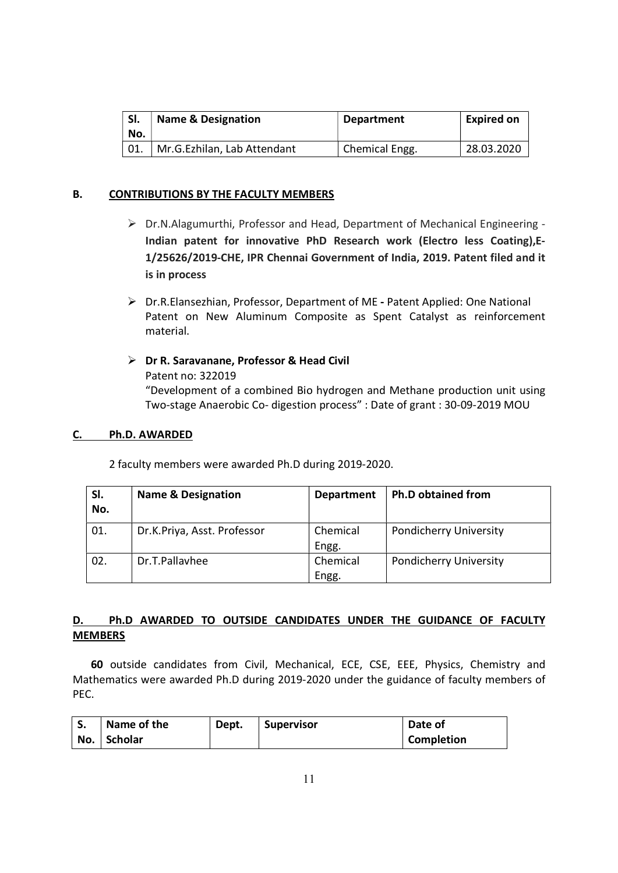| SI.<br>No. | <b>Name &amp; Designation</b> | <b>Department</b> | <b>Expired on</b> |
|------------|-------------------------------|-------------------|-------------------|
|            | Mr.G.Ezhilan, Lab Attendant   | Chemical Engg.    | 28.03.2020        |

# B. CONTRIBUTIONS BY THE FACULTY MEMBERS

- Dr.N.Alagumurthi, Professor and Head, Department of Mechanical Engineering Indian patent for innovative PhD Research work (Electro less Coating),E-1/25626/2019-CHE, IPR Chennai Government of India, 2019. Patent filed and it is in process
- Dr.R.Elansezhian, Professor, Department of ME Patent Applied: One National Patent on New Aluminum Composite as Spent Catalyst as reinforcement material.
- $\triangleright$  Dr R. Saravanane, Professor & Head Civil Patent no: 322019 "Development of a combined Bio hydrogen and Methane production unit using Two-stage Anaerobic Co- digestion process" : Date of grant : 30-09-2019 MOU

# C. Ph.D. AWARDED

2 faculty members were awarded Ph.D during 2019-2020.

| SI.<br>No. | <b>Name &amp; Designation</b> | <b>Department</b> | <b>Ph.D obtained from</b>     |
|------------|-------------------------------|-------------------|-------------------------------|
| 01.        | Dr.K.Priya, Asst. Professor   | Chemical<br>Engg. | <b>Pondicherry University</b> |
| 02.        | Dr.T.Pallayhee                | Chemical<br>Engg. | <b>Pondicherry University</b> |

# D. Ph.D AWARDED TO OUTSIDE CANDIDATES UNDER THE GUIDANCE OF FACULTY MEMBERS

60 outside candidates from Civil, Mechanical, ECE, CSE, EEE, Physics, Chemistry and Mathematics were awarded Ph.D during 2019-2020 under the guidance of faculty members of PEC.

| э.  | Name of the | Dept. | <b>Supervisor</b> | Date of    |
|-----|-------------|-------|-------------------|------------|
| No. | Scholar     |       |                   | Completion |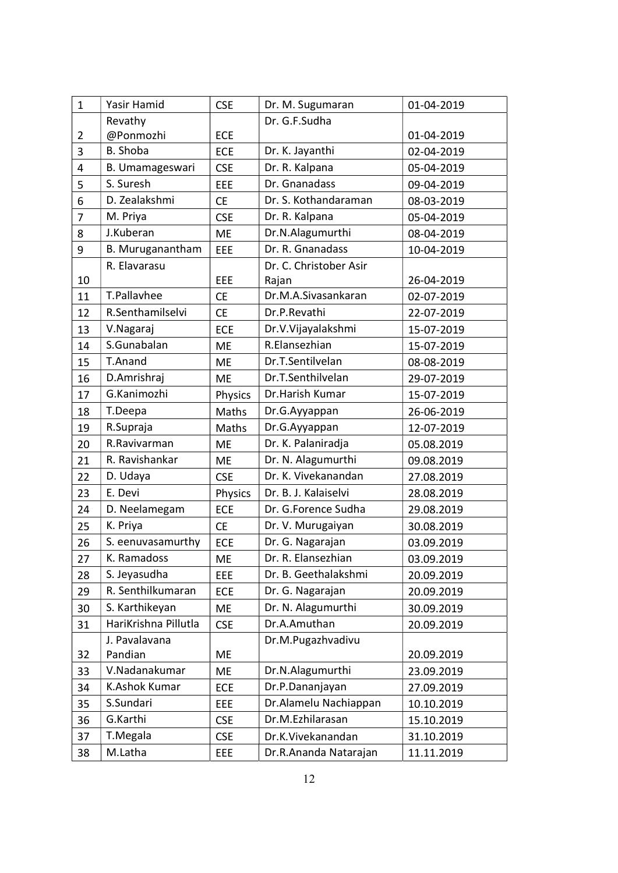| $\mathbf{1}$   | Yasir Hamid          | <b>CSE</b> | Dr. M. Sugumaran       | 01-04-2019 |
|----------------|----------------------|------------|------------------------|------------|
|                | Revathy              |            | Dr. G.F.Sudha          |            |
| $\overline{2}$ | @Ponmozhi            | <b>ECE</b> |                        | 01-04-2019 |
| 3              | B. Shoba             | <b>ECE</b> | Dr. K. Jayanthi        | 02-04-2019 |
| 4              | B. Umamageswari      | <b>CSE</b> | Dr. R. Kalpana         | 05-04-2019 |
| 5              | S. Suresh            | EEE        | Dr. Gnanadass          | 09-04-2019 |
| 6              | D. Zealakshmi        | <b>CE</b>  | Dr. S. Kothandaraman   | 08-03-2019 |
| $\overline{7}$ | M. Priya             | <b>CSE</b> | Dr. R. Kalpana         | 05-04-2019 |
| 8              | J.Kuberan            | <b>ME</b>  | Dr.N.Alagumurthi       | 08-04-2019 |
| 9              | B. Muruganantham     | EEE        | Dr. R. Gnanadass       | 10-04-2019 |
|                | R. Elavarasu         |            | Dr. C. Christober Asir |            |
| 10             |                      | EEE        | Rajan                  | 26-04-2019 |
| 11             | T.Pallavhee          | <b>CE</b>  | Dr.M.A.Sivasankaran    | 02-07-2019 |
| 12             | R.Senthamilselvi     | <b>CE</b>  | Dr.P.Revathi           | 22-07-2019 |
| 13             | V.Nagaraj            | <b>ECE</b> | Dr.V.Vijayalakshmi     | 15-07-2019 |
| 14             | S.Gunabalan          | <b>ME</b>  | R.Elansezhian          | 15-07-2019 |
| 15             | T.Anand              | <b>ME</b>  | Dr.T.Sentilvelan       | 08-08-2019 |
| 16             | D.Amrishraj          | <b>ME</b>  | Dr.T.Senthilvelan      | 29-07-2019 |
| 17             | G.Kanimozhi          | Physics    | Dr.Harish Kumar        | 15-07-2019 |
| 18             | T.Deepa              | Maths      | Dr.G.Ayyappan          | 26-06-2019 |
| 19             | R.Supraja            | Maths      | Dr.G.Ayyappan          | 12-07-2019 |
| 20             | R.Ravivarman         | <b>ME</b>  | Dr. K. Palaniradja     | 05.08.2019 |
| 21             | R. Ravishankar       | <b>ME</b>  | Dr. N. Alagumurthi     | 09.08.2019 |
| 22             | D. Udaya             | <b>CSE</b> | Dr. K. Vivekanandan    | 27.08.2019 |
| 23             | E. Devi              | Physics    | Dr. B. J. Kalaiselvi   | 28.08.2019 |
| 24             | D. Neelamegam        | <b>ECE</b> | Dr. G.Forence Sudha    | 29.08.2019 |
| 25             | K. Priya             | <b>CE</b>  | Dr. V. Murugaiyan      | 30.08.2019 |
| 26             | S. eenuvasamurthy    | <b>ECE</b> | Dr. G. Nagarajan       | 03.09.2019 |
| 27             | K. Ramadoss          | ME         | Dr. R. Elansezhian     | 03.09.2019 |
| 28             | S. Jeyasudha         | EEE        | Dr. B. Geethalakshmi   | 20.09.2019 |
| 29             | R. Senthilkumaran    | <b>ECE</b> | Dr. G. Nagarajan       | 20.09.2019 |
| 30             | S. Karthikeyan       | ME         | Dr. N. Alagumurthi     | 30.09.2019 |
| 31             | HariKrishna Pillutla | <b>CSE</b> | Dr.A.Amuthan           | 20.09.2019 |
|                | J. Pavalavana        |            | Dr.M.Pugazhvadivu      |            |
| 32             | Pandian              | <b>ME</b>  |                        | 20.09.2019 |
| 33             | V.Nadanakumar        | <b>ME</b>  | Dr.N.Alagumurthi       | 23.09.2019 |
| 34             | K.Ashok Kumar        | ECE        | Dr.P.Dananjayan        | 27.09.2019 |
| 35             | S.Sundari            | EEE        | Dr. Alamelu Nachiappan | 10.10.2019 |
| 36             | G.Karthi             | <b>CSE</b> | Dr.M.Ezhilarasan       | 15.10.2019 |
| 37             | T.Megala             | <b>CSE</b> | Dr.K.Vivekanandan      | 31.10.2019 |
| 38             | M.Latha              | EEE        | Dr.R.Ananda Natarajan  | 11.11.2019 |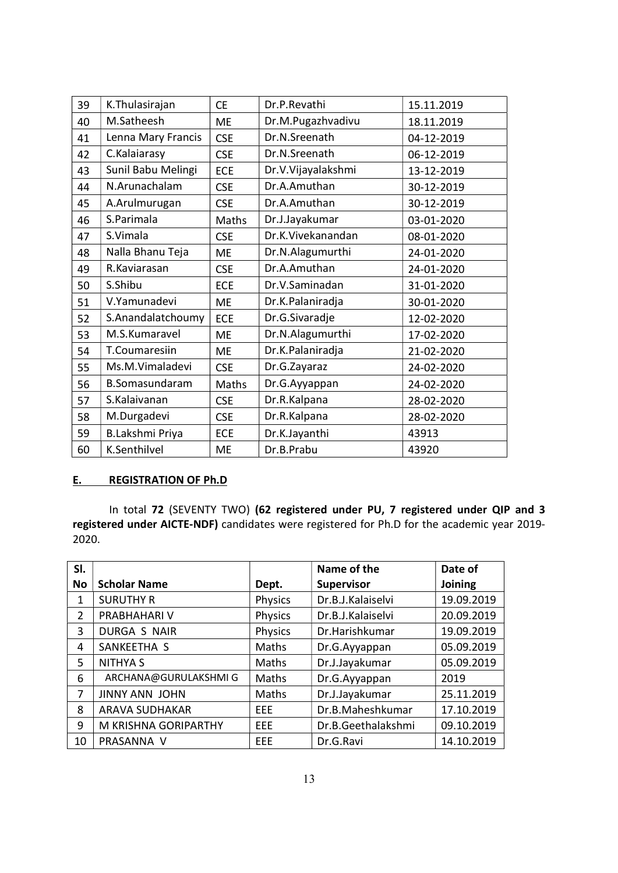| 39 | K. Thulasirajan        | <b>CE</b>  | Dr.P.Revathi       | 15.11.2019 |
|----|------------------------|------------|--------------------|------------|
| 40 | M.Satheesh             | <b>ME</b>  | Dr.M.Pugazhvadivu  | 18.11.2019 |
| 41 | Lenna Mary Francis     | <b>CSE</b> | Dr.N.Sreenath      | 04-12-2019 |
| 42 | C.Kalaiarasy           | <b>CSE</b> | Dr.N.Sreenath      | 06-12-2019 |
| 43 | Sunil Babu Melingi     | <b>ECE</b> | Dr.V.Vijayalakshmi | 13-12-2019 |
| 44 | N.Arunachalam          | <b>CSE</b> | Dr.A.Amuthan       | 30-12-2019 |
| 45 | A.Arulmurugan          | <b>CSE</b> | Dr.A.Amuthan       | 30-12-2019 |
| 46 | S.Parimala             | Maths      | Dr.J.Jayakumar     | 03-01-2020 |
| 47 | S.Vimala               | <b>CSE</b> | Dr.K.Vivekanandan  | 08-01-2020 |
| 48 | Nalla Bhanu Teja       | <b>ME</b>  | Dr.N.Alagumurthi   | 24-01-2020 |
| 49 | R.Kaviarasan           | <b>CSE</b> | Dr.A.Amuthan       | 24-01-2020 |
| 50 | S.Shibu                | <b>ECE</b> | Dr.V.Saminadan     | 31-01-2020 |
| 51 | V.Yamunadevi           | <b>ME</b>  | Dr.K.Palaniradja   | 30-01-2020 |
| 52 | S.Anandalatchoumy      | <b>ECE</b> | Dr.G.Sivaradje     | 12-02-2020 |
| 53 | M.S.Kumaravel          | <b>ME</b>  | Dr.N.Alagumurthi   | 17-02-2020 |
| 54 | T.Coumaresiin          | <b>ME</b>  | Dr.K.Palaniradja   | 21-02-2020 |
| 55 | Ms.M.Vimaladevi        | <b>CSE</b> | Dr.G.Zayaraz       | 24-02-2020 |
| 56 | B.Somasundaram         | Maths      | Dr.G.Ayyappan      | 24-02-2020 |
| 57 | S.Kalaivanan           | <b>CSE</b> | Dr.R.Kalpana       | 28-02-2020 |
| 58 | M.Durgadevi            | <b>CSE</b> | Dr.R.Kalpana       | 28-02-2020 |
| 59 | <b>B.Lakshmi Priya</b> | ECE        | Dr.K.Jayanthi      | 43913      |
| 60 | K.Senthilvel           | <b>ME</b>  | Dr.B.Prabu         | 43920      |

# E. REGISTRATION OF Ph.D

In total 72 (SEVENTY TWO) (62 registered under PU, 7 registered under QIP and 3 registered under AICTE-NDF) candidates were registered for Ph.D for the academic year 2019- 2020.

| SI. |                       |            | Name of the        | Date of    |
|-----|-----------------------|------------|--------------------|------------|
| No  | <b>Scholar Name</b>   | Dept.      | <b>Supervisor</b>  | Joining    |
| 1   | <b>SURUTHY R</b>      | Physics    | Dr.B.J.Kalaiselvi  | 19.09.2019 |
| 2   | PRABHAHARI V          | Physics    | Dr.B.J.Kalaiselvi  | 20.09.2019 |
| 3   | DURGA S NAIR          | Physics    | Dr.Harishkumar     | 19.09.2019 |
| 4   | SANKEETHA S           | Maths      | Dr.G.Ayyappan      | 05.09.2019 |
| 5   | <b>NITHYA S</b>       | Maths      | Dr.J.Jayakumar     | 05.09.2019 |
| 6   | ARCHANA@GURULAKSHMIG  | Maths      | Dr.G.Ayyappan      | 2019       |
| 7   | JINNY ANN JOHN        | Maths      | Dr.J.Jayakumar     | 25.11.2019 |
| 8   | <b>ARAVA SUDHAKAR</b> | EEE        | Dr.B.Maheshkumar   | 17.10.2019 |
| 9   | M KRISHNA GORIPARTHY  | <b>EEE</b> | Dr.B.Geethalakshmi | 09.10.2019 |
| 10  | PRASANNA V            | EEE        | Dr.G.Ravi          | 14.10.2019 |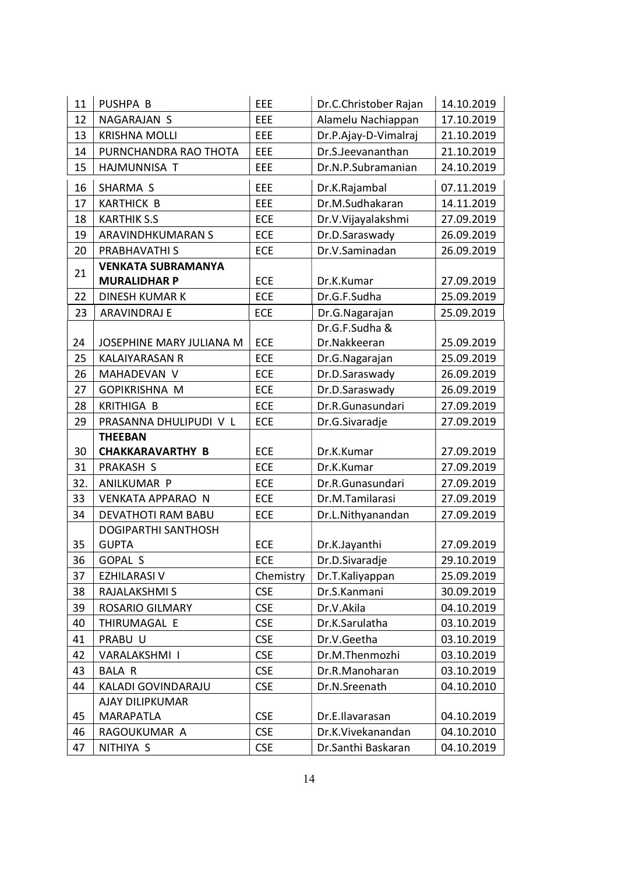| 11       | PUSHPA B                   | EEE        | Dr.C.Christober Rajan | 14.10.2019 |
|----------|----------------------------|------------|-----------------------|------------|
| 12       | NAGARAJAN S                | EEE        | Alamelu Nachiappan    | 17.10.2019 |
| 13       | <b>KRISHNA MOLLI</b>       | EEE        | Dr.P.Ajay-D-Vimalraj  | 21.10.2019 |
| 14       | PURNCHANDRA RAO THOTA      | EEE        | Dr.S.Jeevananthan     | 21.10.2019 |
| 15       | HAJMUNNISA T               | EEE        | Dr.N.P.Subramanian    | 24.10.2019 |
| 16       | SHARMA S                   | EEE        | Dr.K.Rajambal         | 07.11.2019 |
| 17       | <b>KARTHICK B</b>          | EEE        | Dr.M.Sudhakaran       | 14.11.2019 |
| 18       | <b>KARTHIK S.S</b>         | <b>ECE</b> | Dr.V.Vijayalakshmi    | 27.09.2019 |
| 19       | ARAVINDHKUMARAN S          | <b>ECE</b> | Dr.D.Saraswady        | 26.09.2019 |
| 20       | PRABHAVATHI S              | ECE        | Dr.V.Saminadan        | 26.09.2019 |
| 21       | <b>VENKATA SUBRAMANYA</b>  |            |                       |            |
|          | <b>MURALIDHAR P</b>        | <b>ECE</b> | Dr.K.Kumar            | 27.09.2019 |
| 22       | <b>DINESH KUMAR K</b>      | <b>ECE</b> | Dr.G.F.Sudha          | 25.09.2019 |
| 23       | <b>ARAVINDRAJ E</b>        | <b>ECE</b> | Dr.G.Nagarajan        | 25.09.2019 |
|          |                            |            | Dr.G.F.Sudha &        |            |
| 24       | JOSEPHINE MARY JULIANA M   | <b>ECE</b> | Dr.Nakkeeran          | 25.09.2019 |
| 25       | <b>KALAIYARASAN R</b>      | <b>ECE</b> | Dr.G.Nagarajan        | 25.09.2019 |
| 26       | MAHADEVAN V                | <b>ECE</b> | Dr.D.Saraswady        | 26.09.2019 |
| 27       | <b>GOPIKRISHNA M</b>       | <b>ECE</b> | Dr.D.Saraswady        | 26.09.2019 |
| 28       | <b>KRITHIGA B</b>          | <b>ECE</b> | Dr.R.Gunasundari      | 27.09.2019 |
| 29       | PRASANNA DHULIPUDI V L     | <b>ECE</b> | Dr.G.Sivaradje        | 27.09.2019 |
|          | <b>THEEBAN</b>             |            |                       |            |
| 30       | <b>CHAKKARAVARTHY B</b>    | <b>ECE</b> | Dr.K.Kumar            | 27.09.2019 |
| 31       | <b>PRAKASH S</b>           | <b>ECE</b> | Dr.K.Kumar            | 27.09.2019 |
| 32.      | ANILKUMAR P                | <b>ECE</b> | Dr.R.Gunasundari      | 27.09.2019 |
| 33       | <b>VENKATA APPARAO N</b>   | <b>ECE</b> | Dr.M.Tamilarasi       | 27.09.2019 |
| 34       | DEVATHOTI RAM BABU         | <b>ECE</b> | Dr.L.Nithyanandan     | 27.09.2019 |
|          | <b>DOGIPARTHI SANTHOSH</b> |            |                       |            |
| 35       | <b>GUPTA</b>               | <b>ECE</b> | Dr.K.Jayanthi         | 27.09.2019 |
| 36       | GOPAL S                    | ECE        | Dr.D.Sivaradje        | 29.10.2019 |
| 37       | <b>EZHILARASI V</b>        | Chemistry  | Dr.T.Kaliyappan       | 25.09.2019 |
| 38       | RAJALAKSHMI S              | <b>CSE</b> | Dr.S.Kanmani          | 30.09.2019 |
| 39       | <b>ROSARIO GILMARY</b>     | <b>CSE</b> | Dr.V.Akila            | 04.10.2019 |
| 40       |                            |            |                       |            |
| 41       | THIRUMAGAL E               | <b>CSE</b> | Dr.K.Sarulatha        | 03.10.2019 |
|          | PRABU U                    | <b>CSE</b> | Dr.V.Geetha           | 03.10.2019 |
| 42       | VARALAKSHMI I              | <b>CSE</b> | Dr.M.Thenmozhi        | 03.10.2019 |
| 43       | <b>BALA R</b>              | <b>CSE</b> | Dr.R.Manoharan        | 03.10.2019 |
| 44       | KALADI GOVINDARAJU         | <b>CSE</b> | Dr.N.Sreenath         | 04.10.2010 |
|          | AJAY DILIPKUMAR            |            |                       |            |
| 45       | <b>MARAPATLA</b>           | <b>CSE</b> | Dr.E.Ilavarasan       | 04.10.2019 |
| 46<br>47 | RAGOUKUMAR A               | <b>CSE</b> | Dr.K.Vivekanandan     | 04.10.2010 |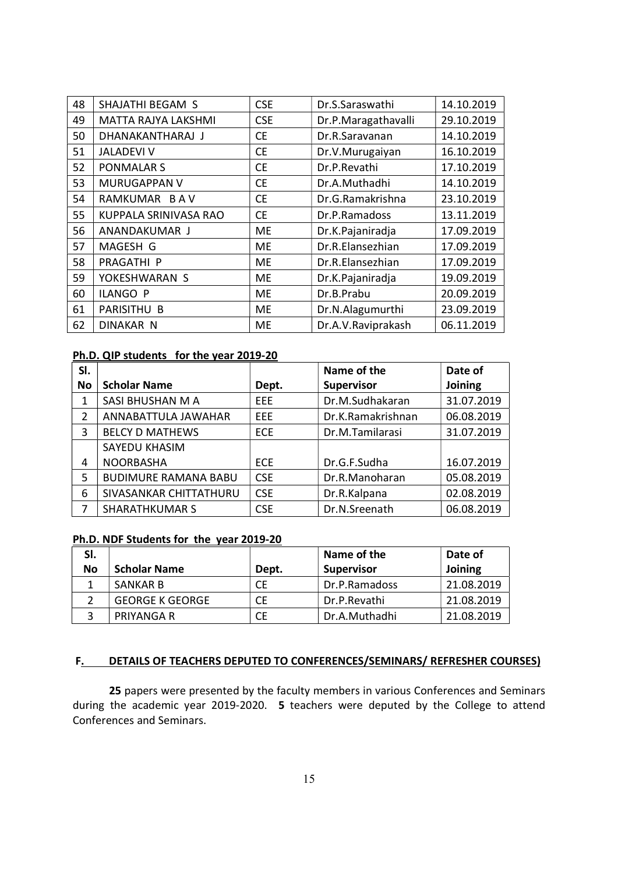| 48 | SHAJATHI BEGAM S      | <b>CSE</b> | Dr.S.Saraswathi     | 14.10.2019 |
|----|-----------------------|------------|---------------------|------------|
| 49 | MATTA RAJYA LAKSHMI   | <b>CSE</b> | Dr.P.Maragathavalli | 29.10.2019 |
| 50 | DHANAKANTHARAJ J      | <b>CE</b>  | Dr.R.Saravanan      | 14.10.2019 |
| 51 | <b>JALADEVI V</b>     | <b>CE</b>  | Dr.V.Murugaiyan     | 16.10.2019 |
| 52 | <b>PONMALAR S</b>     | <b>CE</b>  | Dr.P.Revathi        | 17.10.2019 |
| 53 | <b>MURUGAPPAN V</b>   | <b>CE</b>  | Dr.A.Muthadhi       | 14.10.2019 |
| 54 | RAMKUMAR BAV          | <b>CE</b>  | Dr.G.Ramakrishna    | 23.10.2019 |
| 55 | KUPPALA SRINIVASA RAO | <b>CE</b>  | Dr.P.Ramadoss       | 13.11.2019 |
| 56 | ANANDAKUMAR J         | <b>ME</b>  | Dr.K.Pajaniradja    | 17.09.2019 |
| 57 | MAGESH G              | ME         | Dr.R.Elansezhian    | 17.09.2019 |
| 58 | PRAGATHI P            | <b>ME</b>  | Dr.R.Elansezhian    | 17.09.2019 |
| 59 | YOKESHWARAN S         | <b>ME</b>  | Dr.K.Pajaniradja    | 19.09.2019 |
| 60 | <b>ILANGO P</b>       | <b>ME</b>  | Dr.B.Prabu          | 20.09.2019 |
| 61 | PARISITHU B           | <b>ME</b>  | Dr.N.Alagumurthi    | 23.09.2019 |
| 62 | <b>DINAKAR N</b>      | <b>ME</b>  | Dr.A.V.Raviprakash  | 06.11.2019 |

#### Ph.D. QIP students for the year 2019-20

| SI. |                             |            | Name of the       | Date of    |
|-----|-----------------------------|------------|-------------------|------------|
| No  | <b>Scholar Name</b>         | Dept.      | <b>Supervisor</b> | Joining    |
| 1   | SASI BHUSHAN M A            | <b>EEE</b> | Dr.M.Sudhakaran   | 31.07.2019 |
| 2   | ANNABATTULA JAWAHAR         | <b>EEE</b> | Dr.K.Ramakrishnan | 06.08.2019 |
| 3   | <b>BELCY D MATHEWS</b>      | <b>ECE</b> | Dr.M.Tamilarasi   | 31.07.2019 |
|     | SAYEDU KHASIM               |            |                   |            |
| 4   | <b>NOORBASHA</b>            | <b>ECE</b> | Dr.G.F.Sudha      | 16.07.2019 |
| 5   | <b>BUDIMURE RAMANA BABU</b> | <b>CSE</b> | Dr.R.Manoharan    | 05.08.2019 |
| 6   | SIVASANKAR CHITTATHURU      | <b>CSE</b> | Dr.R.Kalpana      | 02.08.2019 |
| 7   | <b>SHARATHKUMAR S</b>       | <b>CSE</b> | Dr.N.Sreenath     | 06.08.2019 |

# Ph.D. NDF Students for the year 2019-20

| SI.       |                        |       | Name of the       | Date of        |
|-----------|------------------------|-------|-------------------|----------------|
| <b>No</b> | <b>Scholar Name</b>    | Dept. | <b>Supervisor</b> | <b>Joining</b> |
|           | <b>SANKAR B</b>        | СE    | Dr.P.Ramadoss     | 21.08.2019     |
|           | <b>GEORGE K GEORGE</b> | СE    | Dr.P.Revathi      | 21.08.2019     |
|           | PRIYANGA R             | СE    | Dr.A.Muthadhi     | 21.08.2019     |

### F. DETAILS OF TEACHERS DEPUTED TO CONFERENCES/SEMINARS/ REFRESHER COURSES)

25 papers were presented by the faculty members in various Conferences and Seminars during the academic year 2019-2020. 5 teachers were deputed by the College to attend Conferences and Seminars.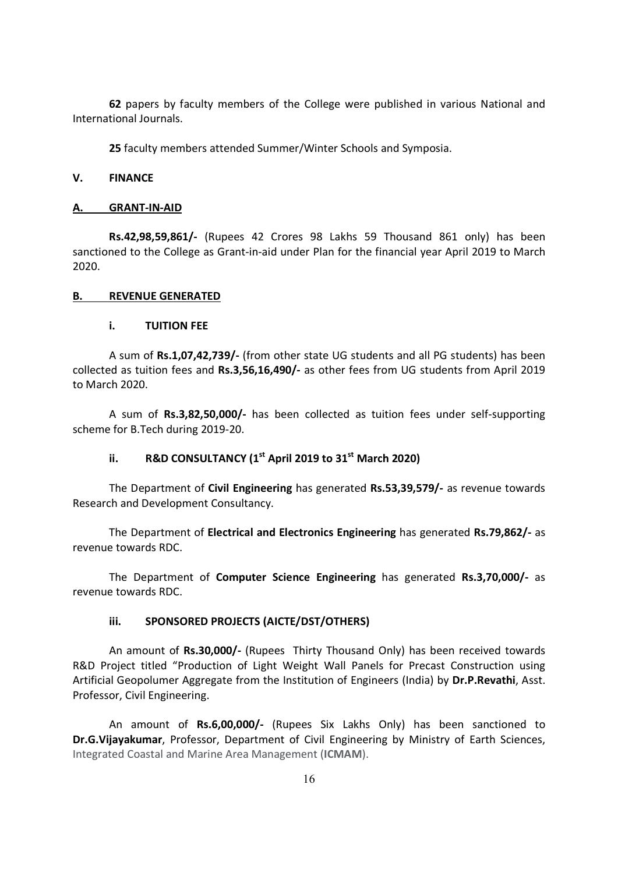62 papers by faculty members of the College were published in various National and International Journals.

25 faculty members attended Summer/Winter Schools and Symposia.

### V. FINANCE

#### A. GRANT-IN-AID

 Rs.42,98,59,861/- (Rupees 42 Crores 98 Lakhs 59 Thousand 861 only) has been sanctioned to the College as Grant-in-aid under Plan for the financial year April 2019 to March 2020.

#### B. REVENUE GENERATED

#### i. TUITION FEE

 A sum of Rs.1,07,42,739/- (from other state UG students and all PG students) has been collected as tuition fees and Rs.3,56,16,490/- as other fees from UG students from April 2019 to March 2020.

 A sum of Rs.3,82,50,000/- has been collected as tuition fees under self-supporting scheme for B.Tech during 2019-20.

# ii. R&D CONSULTANCY ( $1<sup>st</sup>$  April 2019 to 31 $<sup>st</sup>$  March 2020)</sup>

The Department of Civil Engineering has generated Rs.53,39,579/- as revenue towards Research and Development Consultancy.

 The Department of Electrical and Electronics Engineering has generated Rs.79,862/- as revenue towards RDC.

 The Department of Computer Science Engineering has generated Rs.3,70,000/- as revenue towards RDC.

# iii. SPONSORED PROJECTS (AICTE/DST/OTHERS)

An amount of Rs.30,000/- (Rupees Thirty Thousand Only) has been received towards R&D Project titled "Production of Light Weight Wall Panels for Precast Construction using Artificial Geopolumer Aggregate from the Institution of Engineers (India) by Dr.P.Revathi, Asst. Professor, Civil Engineering.

An amount of Rs.6,00,000/- (Rupees Six Lakhs Only) has been sanctioned to Dr.G.Vijayakumar, Professor, Department of Civil Engineering by Ministry of Earth Sciences, Integrated Coastal and Marine Area Management (ICMAM).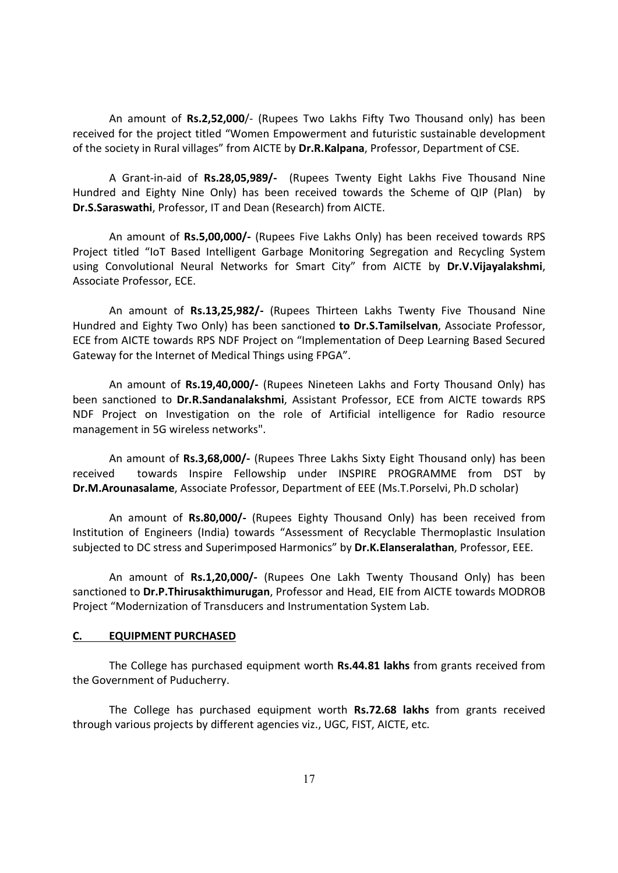An amount of Rs.2,52,000/- (Rupees Two Lakhs Fifty Two Thousand only) has been received for the project titled "Women Empowerment and futuristic sustainable development of the society in Rural villages" from AICTE by Dr.R.Kalpana, Professor, Department of CSE.

A Grant-in-aid of Rs.28,05,989/- (Rupees Twenty Eight Lakhs Five Thousand Nine Hundred and Eighty Nine Only) has been received towards the Scheme of QIP (Plan) by Dr.S.Saraswathi, Professor, IT and Dean (Research) from AICTE.

An amount of Rs.5,00,000/- (Rupees Five Lakhs Only) has been received towards RPS Project titled "IoT Based Intelligent Garbage Monitoring Segregation and Recycling System using Convolutional Neural Networks for Smart City" from AICTE by Dr.V.Vijayalakshmi, Associate Professor, ECE.

An amount of Rs.13,25,982/- (Rupees Thirteen Lakhs Twenty Five Thousand Nine Hundred and Eighty Two Only) has been sanctioned to Dr.S.Tamilselvan, Associate Professor, ECE from AICTE towards RPS NDF Project on "Implementation of Deep Learning Based Secured Gateway for the Internet of Medical Things using FPGA".

An amount of Rs.19,40,000/- (Rupees Nineteen Lakhs and Forty Thousand Only) has been sanctioned to Dr.R.Sandanalakshmi, Assistant Professor, ECE from AICTE towards RPS NDF Project on Investigation on the role of Artificial intelligence for Radio resource management in 5G wireless networks".

An amount of Rs.3,68,000/- (Rupees Three Lakhs Sixty Eight Thousand only) has been received towards Inspire Fellowship under INSPIRE PROGRAMME from DST by Dr.M.Arounasalame, Associate Professor, Department of EEE (Ms.T.Porselvi, Ph.D scholar)

An amount of Rs.80,000/- (Rupees Eighty Thousand Only) has been received from Institution of Engineers (India) towards "Assessment of Recyclable Thermoplastic Insulation subjected to DC stress and Superimposed Harmonics" by Dr.K.Elanseralathan, Professor, EEE.

An amount of Rs.1,20,000/- (Rupees One Lakh Twenty Thousand Only) has been sanctioned to Dr.P.Thirusakthimurugan, Professor and Head, EIE from AICTE towards MODROB Project "Modernization of Transducers and Instrumentation System Lab.

#### C. EQUIPMENT PURCHASED

The College has purchased equipment worth **Rs.44.81 lakhs** from grants received from the Government of Puducherry.

 The College has purchased equipment worth Rs.72.68 lakhs from grants received through various projects by different agencies viz., UGC, FIST, AICTE, etc.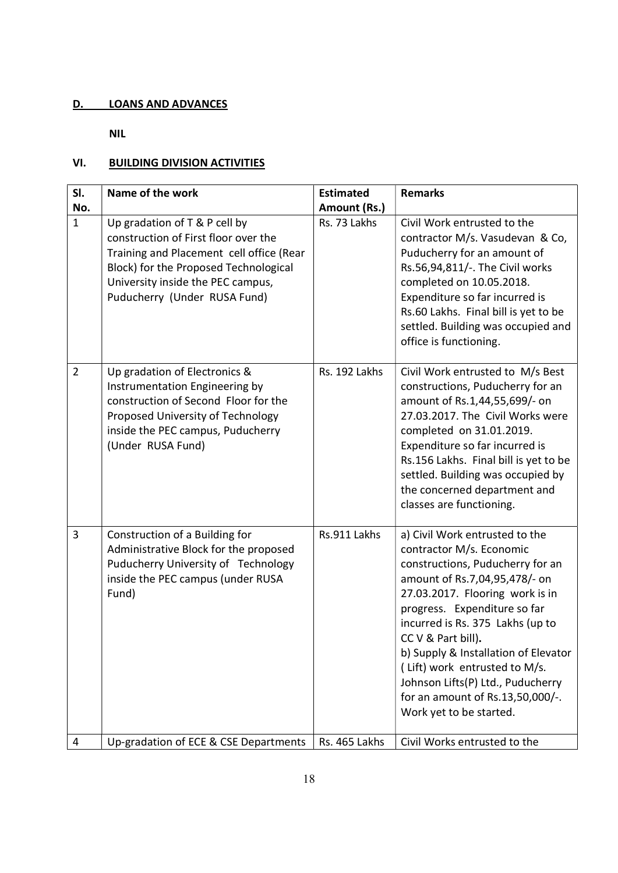# D. LOANS AND ADVANCES

NIL

# VI. BUILDING DIVISION ACTIVITIES

| SI.                 | Name of the work                                                                                                                                                                                                                | <b>Estimated</b>             | <b>Remarks</b>                                                                                                                                                                                                                                                                                                                                                                                                                            |
|---------------------|---------------------------------------------------------------------------------------------------------------------------------------------------------------------------------------------------------------------------------|------------------------------|-------------------------------------------------------------------------------------------------------------------------------------------------------------------------------------------------------------------------------------------------------------------------------------------------------------------------------------------------------------------------------------------------------------------------------------------|
| No.<br>$\mathbf{1}$ | Up gradation of T & P cell by<br>construction of First floor over the<br>Training and Placement cell office (Rear<br>Block) for the Proposed Technological<br>University inside the PEC campus,<br>Puducherry (Under RUSA Fund) | Amount (Rs.)<br>Rs. 73 Lakhs | Civil Work entrusted to the<br>contractor M/s. Vasudevan & Co,<br>Puducherry for an amount of<br>Rs.56,94,811/-. The Civil works<br>completed on 10.05.2018.<br>Expenditure so far incurred is<br>Rs.60 Lakhs. Final bill is yet to be<br>settled. Building was occupied and<br>office is functioning.                                                                                                                                    |
| $\overline{2}$      | Up gradation of Electronics &<br>Instrumentation Engineering by<br>construction of Second Floor for the<br>Proposed University of Technology<br>inside the PEC campus, Puducherry<br>(Under RUSA Fund)                          | Rs. 192 Lakhs                | Civil Work entrusted to M/s Best<br>constructions, Puducherry for an<br>amount of Rs.1,44,55,699/- on<br>27.03.2017. The Civil Works were<br>completed on 31.01.2019.<br>Expenditure so far incurred is<br>Rs.156 Lakhs. Final bill is yet to be<br>settled. Building was occupied by<br>the concerned department and<br>classes are functioning.                                                                                         |
| $\overline{3}$      | Construction of a Building for<br>Administrative Block for the proposed<br>Puducherry University of Technology<br>inside the PEC campus (under RUSA<br>Fund)                                                                    | Rs.911 Lakhs                 | a) Civil Work entrusted to the<br>contractor M/s. Economic<br>constructions, Puducherry for an<br>amount of Rs.7,04,95,478/- on<br>27.03.2017. Flooring work is in<br>progress. Expenditure so far<br>incurred is Rs. 375 Lakhs (up to<br>CC V & Part bill).<br>b) Supply & Installation of Elevator<br>(Lift) work entrusted to M/s.<br>Johnson Lifts(P) Ltd., Puducherry<br>for an amount of Rs.13,50,000/-.<br>Work yet to be started. |
| 4                   | Up-gradation of ECE & CSE Departments                                                                                                                                                                                           | Rs. 465 Lakhs                | Civil Works entrusted to the                                                                                                                                                                                                                                                                                                                                                                                                              |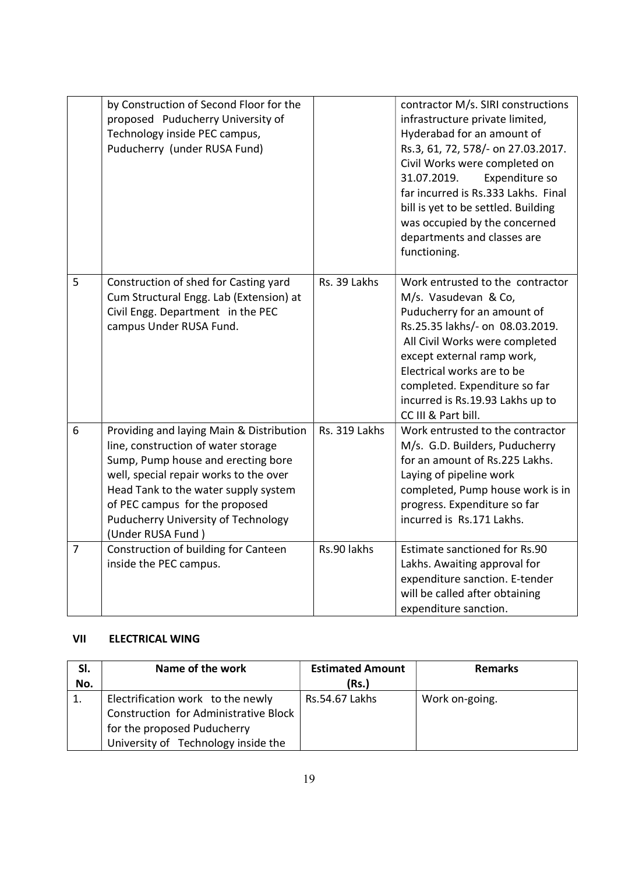|                | by Construction of Second Floor for the<br>proposed Puducherry University of<br>Technology inside PEC campus,<br>Puducherry (under RUSA Fund)                                                                                                                                                         |               | contractor M/s. SIRI constructions<br>infrastructure private limited,<br>Hyderabad for an amount of<br>Rs.3, 61, 72, 578/- on 27.03.2017.<br>Civil Works were completed on<br>31.07.2019.<br>Expenditure so<br>far incurred is Rs.333 Lakhs. Final<br>bill is yet to be settled. Building<br>was occupied by the concerned<br>departments and classes are<br>functioning. |
|----------------|-------------------------------------------------------------------------------------------------------------------------------------------------------------------------------------------------------------------------------------------------------------------------------------------------------|---------------|---------------------------------------------------------------------------------------------------------------------------------------------------------------------------------------------------------------------------------------------------------------------------------------------------------------------------------------------------------------------------|
| 5              | Construction of shed for Casting yard<br>Cum Structural Engg. Lab (Extension) at<br>Civil Engg. Department in the PEC<br>campus Under RUSA Fund.                                                                                                                                                      | Rs. 39 Lakhs  | Work entrusted to the contractor<br>M/s. Vasudevan & Co,<br>Puducherry for an amount of<br>Rs.25.35 lakhs/- on 08.03.2019.<br>All Civil Works were completed<br>except external ramp work,<br>Electrical works are to be<br>completed. Expenditure so far<br>incurred is Rs.19.93 Lakhs up to<br>CC III & Part bill.                                                      |
| 6              | Providing and laying Main & Distribution<br>line, construction of water storage<br>Sump, Pump house and erecting bore<br>well, special repair works to the over<br>Head Tank to the water supply system<br>of PEC campus for the proposed<br>Puducherry University of Technology<br>(Under RUSA Fund) | Rs. 319 Lakhs | Work entrusted to the contractor<br>M/s. G.D. Builders, Puducherry<br>for an amount of Rs.225 Lakhs.<br>Laying of pipeline work<br>completed, Pump house work is in<br>progress. Expenditure so far<br>incurred is Rs.171 Lakhs.                                                                                                                                          |
| $\overline{7}$ | Construction of building for Canteen<br>inside the PEC campus.                                                                                                                                                                                                                                        | Rs.90 lakhs   | Estimate sanctioned for Rs.90<br>Lakhs. Awaiting approval for<br>expenditure sanction. E-tender<br>will be called after obtaining<br>expenditure sanction.                                                                                                                                                                                                                |

# VII ELECTRICAL WING

| SI. | Name of the work                      | <b>Estimated Amount</b> | <b>Remarks</b> |
|-----|---------------------------------------|-------------------------|----------------|
| No. |                                       | (Rs.)                   |                |
|     | Electrification work to the newly     | Rs.54.67 Lakhs          | Work on-going. |
|     | Construction for Administrative Block |                         |                |
|     | for the proposed Puducherry           |                         |                |
|     | University of Technology inside the   |                         |                |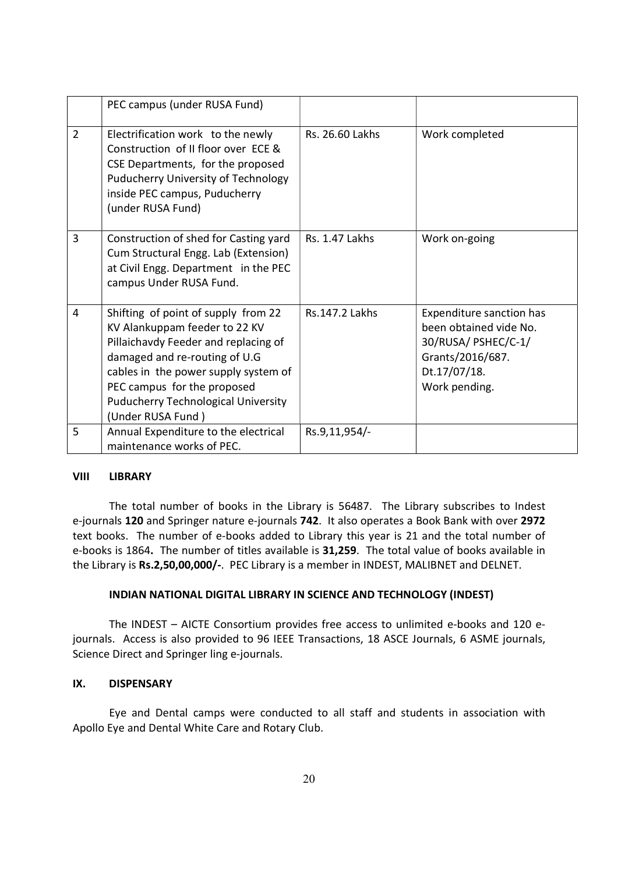|                | PEC campus (under RUSA Fund)                                                                                                                                                                                                                                                            |                 |                                                                                                                                |
|----------------|-----------------------------------------------------------------------------------------------------------------------------------------------------------------------------------------------------------------------------------------------------------------------------------------|-----------------|--------------------------------------------------------------------------------------------------------------------------------|
| $\overline{2}$ | Electrification work to the newly<br>Construction of II floor over ECE &<br>CSE Departments, for the proposed<br>Puducherry University of Technology<br>inside PEC campus, Puducherry<br>(under RUSA Fund)                                                                              | Rs. 26.60 Lakhs | Work completed                                                                                                                 |
| 3              | Construction of shed for Casting yard<br>Cum Structural Engg. Lab (Extension)<br>at Civil Engg. Department in the PEC<br>campus Under RUSA Fund.                                                                                                                                        | Rs. 1.47 Lakhs  | Work on-going                                                                                                                  |
| $\overline{4}$ | Shifting of point of supply from 22<br>KV Alankuppam feeder to 22 KV<br>Pillaichavdy Feeder and replacing of<br>damaged and re-routing of U.G<br>cables in the power supply system of<br>PEC campus for the proposed<br><b>Puducherry Technological University</b><br>(Under RUSA Fund) | Rs.147.2 Lakhs  | Expenditure sanction has<br>been obtained vide No.<br>30/RUSA/ PSHEC/C-1/<br>Grants/2016/687.<br>Dt.17/07/18.<br>Work pending. |
| 5              | Annual Expenditure to the electrical<br>maintenance works of PEC.                                                                                                                                                                                                                       | Rs.9,11,954/-   |                                                                                                                                |

# VIII LIBRARY

 The total number of books in the Library is 56487. The Library subscribes to Indest e-journals 120 and Springer nature e-journals 742. It also operates a Book Bank with over 2972 text books. The number of e-books added to Library this year is 21 and the total number of e-books is 1864. The number of titles available is 31,259. The total value of books available in the Library is Rs.2,50,00,000/-. PEC Library is a member in INDEST, MALIBNET and DELNET.

## INDIAN NATIONAL DIGITAL LIBRARY IN SCIENCE AND TECHNOLOGY (INDEST)

The INDEST – AICTE Consortium provides free access to unlimited e-books and 120 ejournals. Access is also provided to 96 IEEE Transactions, 18 ASCE Journals, 6 ASME journals, Science Direct and Springer ling e-journals.

## IX. DISPENSARY

Eye and Dental camps were conducted to all staff and students in association with Apollo Eye and Dental White Care and Rotary Club.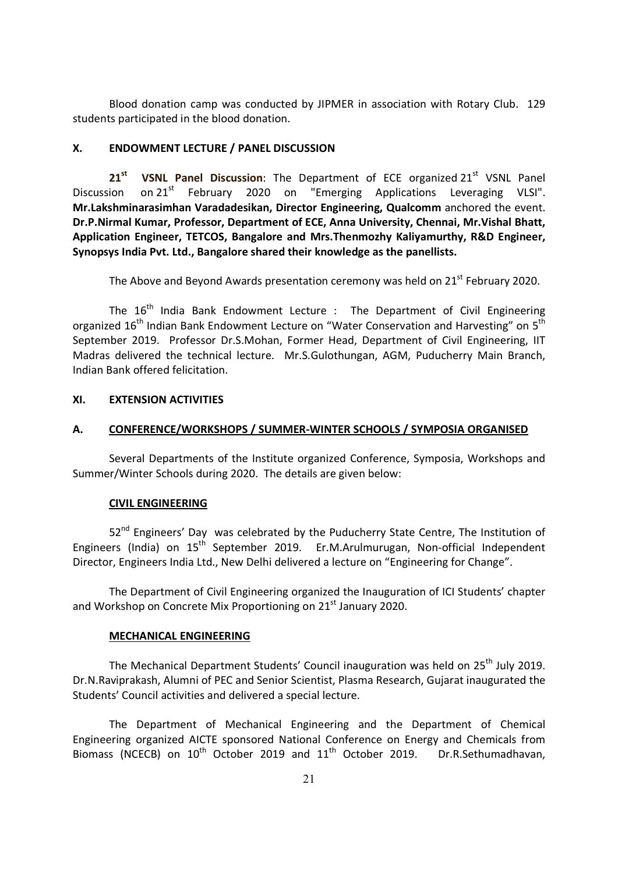Blood donation camp was conducted by JIPMER in association with Rotary Club. 129 students participated in the blood donation.

## X. ENDOWMENT LECTURE / PANEL DISCUSSION

 $21<sup>st</sup>$  VSNL Panel Discussion: The Department of ECE organized 21 $<sup>st</sup>$  VSNL Panel</sup> Discussion on 21<sup>st</sup> February 2020 on "Emerging Applications Leveraging VLSI". Mr.Lakshminarasimhan Varadadesikan, Director Engineering, Qualcomm anchored the event. Dr.P.Nirmal Kumar, Professor, Department of ECE, Anna University, Chennai, Mr.Vishal Bhatt, Application Engineer, TETCOS, Bangalore and Mrs.Thenmozhy Kaliyamurthy, R&D Engineer, Synopsys India Pvt. Ltd., Bangalore shared their knowledge as the panellists.

The Above and Beyond Awards presentation ceremony was held on  $21<sup>st</sup>$  February 2020.

The  $16<sup>th</sup>$  India Bank Endowment Lecture : The Department of Civil Engineering organized 16<sup>th</sup> Indian Bank Endowment Lecture on "Water Conservation and Harvesting" on 5<sup>th</sup> September 2019. Professor Dr.S.Mohan, Former Head, Department of Civil Engineering, IIT Madras delivered the technical lecture. Mr.S.Gulothungan, AGM, Puducherry Main Branch, Indian Bank offered felicitation.

## XI. EXTENSION ACTIVITIES

#### A. CONFERENCE/WORKSHOPS / SUMMER-WINTER SCHOOLS / SYMPOSIA ORGANISED

 Several Departments of the Institute organized Conference, Symposia, Workshops and Summer/Winter Schools during 2020. The details are given below:

#### CIVIL ENGINEERING

52<sup>nd</sup> Engineers' Day was celebrated by the Puducherry State Centre, The Institution of Engineers (India) on 15<sup>th</sup> September 2019. Er.M.Arulmurugan, Non-official Independent Director, Engineers India Ltd., New Delhi delivered a lecture on "Engineering for Change".

 The Department of Civil Engineering organized the Inauguration of ICI Students' chapter and Workshop on Concrete Mix Proportioning on 21<sup>st</sup> January 2020.

#### MECHANICAL ENGINEERING

The Mechanical Department Students' Council inauguration was held on 25<sup>th</sup> July 2019. Dr.N.Raviprakash, Alumni of PEC and Senior Scientist, Plasma Research, Gujarat inaugurated the Students' Council activities and delivered a special lecture.

The Department of Mechanical Engineering and the Department of Chemical Engineering organized AICTE sponsored National Conference on Energy and Chemicals from Biomass (NCECB) on  $10^{th}$  October 2019 and  $11^{th}$  October 2019. Dr.R.Sethumadhavan,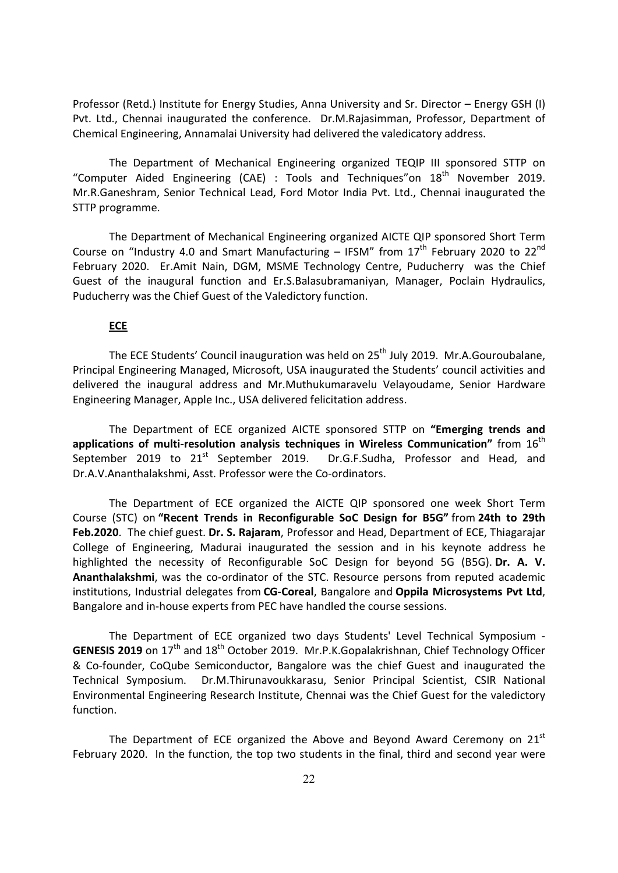Professor (Retd.) Institute for Energy Studies, Anna University and Sr. Director – Energy GSH (I) Pvt. Ltd., Chennai inaugurated the conference. Dr.M.Rajasimman, Professor, Department of Chemical Engineering, Annamalai University had delivered the valedicatory address.

The Department of Mechanical Engineering organized TEQIP III sponsored STTP on "Computer Aided Engineering (CAE) : Tools and Techniques" on  $18<sup>th</sup>$  November 2019. Mr.R.Ganeshram, Senior Technical Lead, Ford Motor India Pvt. Ltd., Chennai inaugurated the STTP programme.

The Department of Mechanical Engineering organized AICTE QIP sponsored Short Term Course on "Industry 4.0 and Smart Manufacturing – IFSM" from  $17<sup>th</sup>$  February 2020 to  $22<sup>nd</sup>$ February 2020. Er.Amit Nain, DGM, MSME Technology Centre, Puducherry was the Chief Guest of the inaugural function and Er.S.Balasubramaniyan, Manager, Poclain Hydraulics, Puducherry was the Chief Guest of the Valedictory function.

# **ECE**

The ECE Students' Council inauguration was held on 25<sup>th</sup> July 2019. Mr.A.Gouroubalane, Principal Engineering Managed, Microsoft, USA inaugurated the Students' council activities and delivered the inaugural address and Mr.Muthukumaravelu Velayoudame, Senior Hardware Engineering Manager, Apple Inc., USA delivered felicitation address.

The Department of ECE organized AICTE sponsored STTP on "Emerging trends and applications of multi-resolution analysis techniques in Wireless Communication" from  $16^{th}$ September 2019 to 21<sup>st</sup> September 2019. Dr.G.F.Sudha, Professor and Head, and Dr.A.V.Ananthalakshmi, Asst. Professor were the Co-ordinators.

The Department of ECE organized the AICTE QIP sponsored one week Short Term Course (STC) on "Recent Trends in Reconfigurable SoC Design for B5G" from 24th to 29th Feb.2020. The chief guest. Dr. S. Rajaram, Professor and Head, Department of ECE, Thiagarajar College of Engineering, Madurai inaugurated the session and in his keynote address he highlighted the necessity of Reconfigurable SoC Design for beyond 5G (B5G). Dr. A. V. Ananthalakshmi, was the co-ordinator of the STC. Resource persons from reputed academic institutions, Industrial delegates from CG-Coreal, Bangalore and Oppila Microsystems Pvt Ltd, Bangalore and in-house experts from PEC have handled the course sessions.

The Department of ECE organized two days Students' Level Technical Symposium - GENESIS 2019 on 17<sup>th</sup> and 18<sup>th</sup> October 2019. Mr.P.K.Gopalakrishnan, Chief Technology Officer & Co-founder, CoQube Semiconductor, Bangalore was the chief Guest and inaugurated the Technical Symposium. Dr.M.Thirunavoukkarasu, Senior Principal Scientist, CSIR National Environmental Engineering Research Institute, Chennai was the Chief Guest for the valedictory function.

The Department of ECE organized the Above and Beyond Award Ceremony on 21<sup>st</sup> February 2020. In the function, the top two students in the final, third and second year were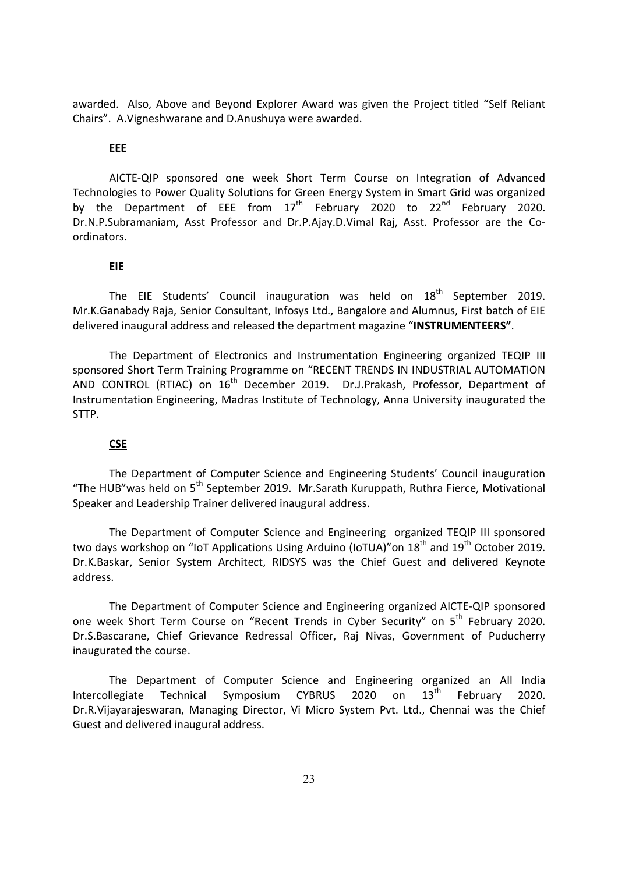awarded. Also, Above and Beyond Explorer Award was given the Project titled "Self Reliant Chairs". A.Vigneshwarane and D.Anushuya were awarded.

#### EEE

AICTE-QIP sponsored one week Short Term Course on Integration of Advanced Technologies to Power Quality Solutions for Green Energy System in Smart Grid was organized by the Department of EEE from  $17<sup>th</sup>$  February 2020 to 22<sup>nd</sup> February 2020. Dr.N.P.Subramaniam, Asst Professor and Dr.P.Ajay.D.Vimal Raj, Asst. Professor are the Coordinators.

### EIE

The EIE Students' Council inauguration was held on 18<sup>th</sup> September 2019. Mr.K.Ganabady Raja, Senior Consultant, Infosys Ltd., Bangalore and Alumnus, First batch of EIE delivered inaugural address and released the department magazine "INSTRUMENTEERS".

The Department of Electronics and Instrumentation Engineering organized TEQIP III sponsored Short Term Training Programme on "RECENT TRENDS IN INDUSTRIAL AUTOMATION AND CONTROL (RTIAC) on 16<sup>th</sup> December 2019. Dr.J.Prakash, Professor, Department of Instrumentation Engineering, Madras Institute of Technology, Anna University inaugurated the STTP.

# **CSE**

The Department of Computer Science and Engineering Students' Council inauguration "The HUB"was held on 5th September 2019. Mr.Sarath Kuruppath, Ruthra Fierce, Motivational Speaker and Leadership Trainer delivered inaugural address.

The Department of Computer Science and Engineering organized TEQIP III sponsored two days workshop on "IoT Applications Using Arduino (IoTUA)" on 18<sup>th</sup> and 19<sup>th</sup> October 2019. Dr.K.Baskar, Senior System Architect, RIDSYS was the Chief Guest and delivered Keynote address.

The Department of Computer Science and Engineering organized AICTE-QIP sponsored one week Short Term Course on "Recent Trends in Cyber Security" on 5th February 2020. Dr.S.Bascarane, Chief Grievance Redressal Officer, Raj Nivas, Government of Puducherry inaugurated the course.

The Department of Computer Science and Engineering organized an All India Intercollegiate Technical Symposium CYBRUS 2020 on 13<sup>th</sup> February 2020. Dr.R.Vijayarajeswaran, Managing Director, Vi Micro System Pvt. Ltd., Chennai was the Chief Guest and delivered inaugural address.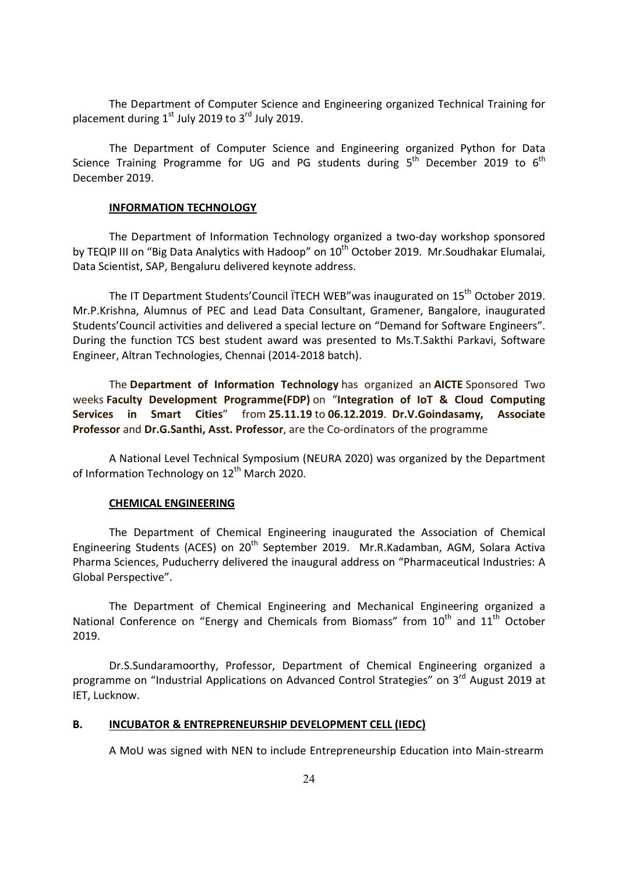The Department of Computer Science and Engineering organized Technical Training for placement during  $1<sup>st</sup>$  July 2019 to  $3<sup>rd</sup>$  July 2019.

The Department of Computer Science and Engineering organized Python for Data Science Training Programme for UG and PG students during  $5<sup>th</sup>$  December 2019 to  $6<sup>th</sup>$ December 2019.

#### INFORMATION TECHNOLOGY

The Department of Information Technology organized a two-day workshop sponsored by TEQIP III on "Big Data Analytics with Hadoop" on 10<sup>th</sup> October 2019. Mr.Soudhakar Elumalai, Data Scientist, SAP, Bengaluru delivered keynote address.

The IT Department Students' Council ITECH WEB" was inaugurated on 15<sup>th</sup> October 2019. Mr.P.Krishna, Alumnus of PEC and Lead Data Consultant, Gramener, Bangalore, inaugurated Students'Council activities and delivered a special lecture on "Demand for Software Engineers". During the function TCS best student award was presented to Ms.T.Sakthi Parkavi, Software Engineer, Altran Technologies, Chennai (2014-2018 batch).

The Department of Information Technology has organized an AICTE Sponsored Two weeks Faculty Development Programme(FDP) on "Integration of IoT & Cloud Computing Services in Smart Cities" from 25.11.19 to 06.12.2019. Dr.V.Goindasamy, Associate Professor and Dr.G.Santhi, Asst. Professor, are the Co-ordinators of the programme

A National Level Technical Symposium (NEURA 2020) was organized by the Department of Information Technology on 12<sup>th</sup> March 2020.

#### CHEMICAL ENGINEERING

The Department of Chemical Engineering inaugurated the Association of Chemical Engineering Students (ACES) on 20<sup>th</sup> September 2019. Mr.R.Kadamban, AGM, Solara Activa Pharma Sciences, Puducherry delivered the inaugural address on "Pharmaceutical Industries: A Global Perspective".

The Department of Chemical Engineering and Mechanical Engineering organized a National Conference on "Energy and Chemicals from Biomass" from  $10<sup>th</sup>$  and  $11<sup>th</sup>$  October 2019.

Dr.S.Sundaramoorthy, Professor, Department of Chemical Engineering organized a programme on "Industrial Applications on Advanced Control Strategies" on 3<sup>rd</sup> August 2019 at IET, Lucknow.

## B. INCUBATOR & ENTREPRENEURSHIP DEVELOPMENT CELL (IEDC)

A MoU was signed with NEN to include Entrepreneurship Education into Main-strearm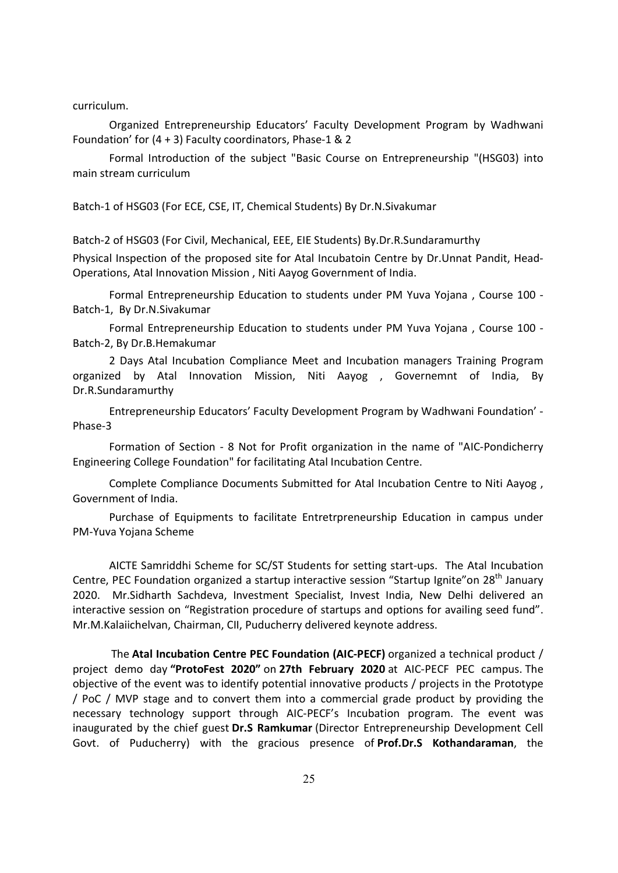curriculum.

Organized Entrepreneurship Educators' Faculty Development Program by Wadhwani Foundation' for (4 + 3) Faculty coordinators, Phase-1 & 2

Formal Introduction of the subject "Basic Course on Entrepreneurship "(HSG03) into main stream curriculum

Batch-1 of HSG03 (For ECE, CSE, IT, Chemical Students) By Dr.N.Sivakumar

Batch-2 of HSG03 (For Civil, Mechanical, EEE, EIE Students) By.Dr.R.Sundaramurthy

Physical Inspection of the proposed site for Atal Incubatoin Centre by Dr.Unnat Pandit, Head-Operations, Atal Innovation Mission , Niti Aayog Government of India.

Formal Entrepreneurship Education to students under PM Yuva Yojana , Course 100 - Batch-1, By Dr.N.Sivakumar

Formal Entrepreneurship Education to students under PM Yuva Yojana , Course 100 - Batch-2, By Dr.B.Hemakumar

2 Days Atal Incubation Compliance Meet and Incubation managers Training Program organized by Atal Innovation Mission, Niti Aayog , Governemnt of India, By Dr.R.Sundaramurthy

Entrepreneurship Educators' Faculty Development Program by Wadhwani Foundation' - Phase-3

Formation of Section - 8 Not for Profit organization in the name of "AIC-Pondicherry Engineering College Foundation" for facilitating Atal Incubation Centre.

Complete Compliance Documents Submitted for Atal Incubation Centre to Niti Aayog , Government of India.

Purchase of Equipments to facilitate Entretrpreneurship Education in campus under PM-Yuva Yojana Scheme

AICTE Samriddhi Scheme for SC/ST Students for setting start-ups. The Atal Incubation Centre, PEC Foundation organized a startup interactive session "Startup Ignite" on 28<sup>th</sup> January 2020. Mr.Sidharth Sachdeva, Investment Specialist, Invest India, New Delhi delivered an interactive session on "Registration procedure of startups and options for availing seed fund". Mr.M.Kalaiichelvan, Chairman, CII, Puducherry delivered keynote address.

 The Atal Incubation Centre PEC Foundation (AIC-PECF) organized a technical product / project demo day "ProtoFest 2020" on 27th February 2020 at AIC-PECF PEC campus. The objective of the event was to identify potential innovative products / projects in the Prototype / PoC / MVP stage and to convert them into a commercial grade product by providing the necessary technology support through AIC-PECF's Incubation program. The event was inaugurated by the chief guest Dr.S Ramkumar (Director Entrepreneurship Development Cell Govt. of Puducherry) with the gracious presence of Prof.Dr.S Kothandaraman, the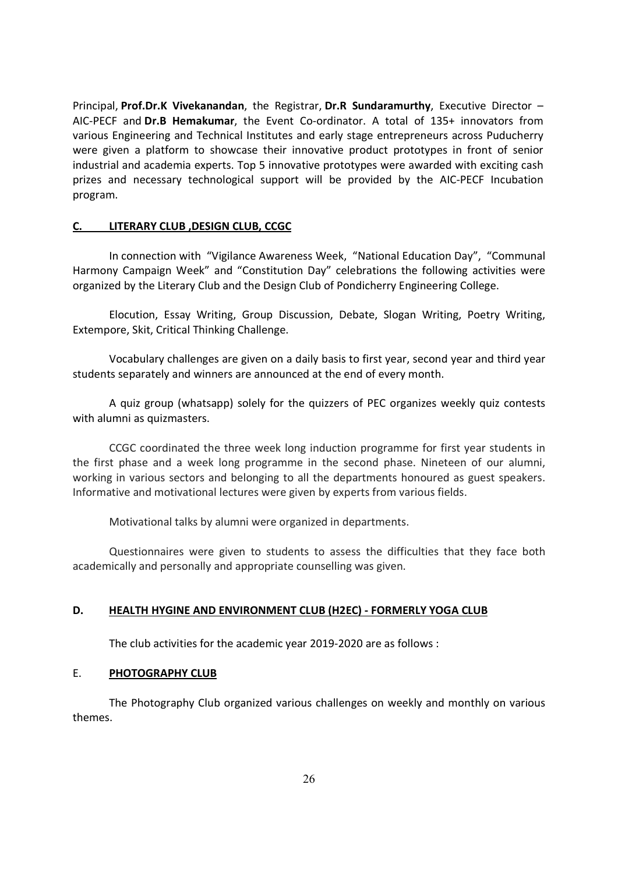Principal, Prof.Dr.K Vivekanandan, the Registrar, Dr.R Sundaramurthy, Executive Director – AIC-PECF and Dr.B Hemakumar, the Event Co-ordinator. A total of 135+ innovators from various Engineering and Technical Institutes and early stage entrepreneurs across Puducherry were given a platform to showcase their innovative product prototypes in front of senior industrial and academia experts. Top 5 innovative prototypes were awarded with exciting cash prizes and necessary technological support will be provided by the AIC-PECF Incubation program.

#### C. LITERARY CLUB ,DESIGN CLUB, CCGC

In connection with "Vigilance Awareness Week, "National Education Day", "Communal Harmony Campaign Week" and "Constitution Day" celebrations the following activities were organized by the Literary Club and the Design Club of Pondicherry Engineering College.

Elocution, Essay Writing, Group Discussion, Debate, Slogan Writing, Poetry Writing, Extempore, Skit, Critical Thinking Challenge.

Vocabulary challenges are given on a daily basis to first year, second year and third year students separately and winners are announced at the end of every month.

A quiz group (whatsapp) solely for the quizzers of PEC organizes weekly quiz contests with alumni as quizmasters.

CCGC coordinated the three week long induction programme for first year students in the first phase and a week long programme in the second phase. Nineteen of our alumni, working in various sectors and belonging to all the departments honoured as guest speakers. Informative and motivational lectures were given by experts from various fields.

Motivational talks by alumni were organized in departments.

Questionnaires were given to students to assess the difficulties that they face both academically and personally and appropriate counselling was given.

#### D. HEALTH HYGINE AND ENVIRONMENT CLUB (H2EC) - FORMERLY YOGA CLUB

The club activities for the academic year 2019-2020 are as follows :

#### E. PHOTOGRAPHY CLUB

 The Photography Club organized various challenges on weekly and monthly on various themes.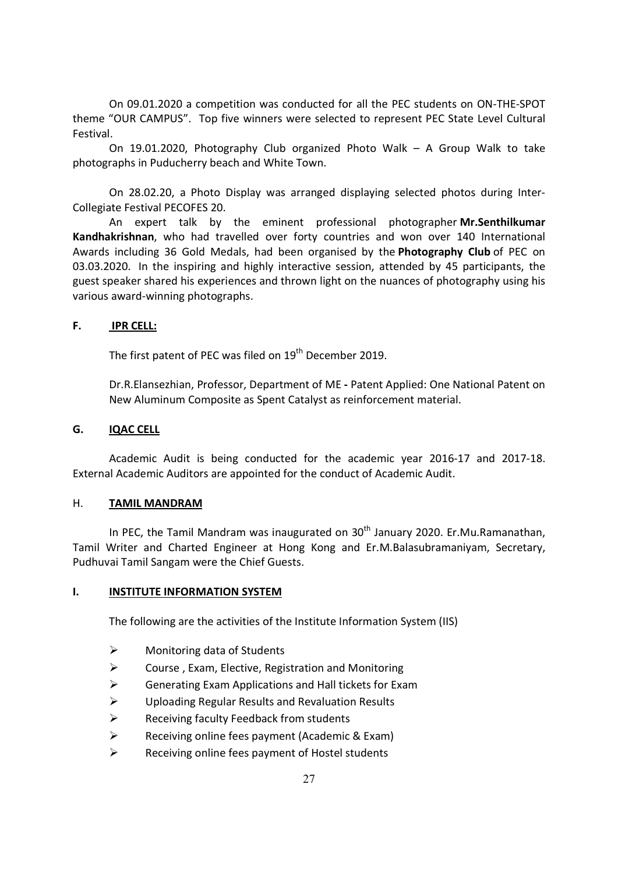On 09.01.2020 a competition was conducted for all the PEC students on ON-THE-SPOT theme "OUR CAMPUS". Top five winners were selected to represent PEC State Level Cultural Festival.

 On 19.01.2020, Photography Club organized Photo Walk – A Group Walk to take photographs in Puducherry beach and White Town.

 On 28.02.20, a Photo Display was arranged displaying selected photos during Inter-Collegiate Festival PECOFES 20.

An expert talk by the eminent professional photographer Mr.Senthilkumar Kandhakrishnan, who had travelled over forty countries and won over 140 International Awards including 36 Gold Medals, had been organised by the Photography Club of PEC on 03.03.2020. In the inspiring and highly interactive session, attended by 45 participants, the guest speaker shared his experiences and thrown light on the nuances of photography using his various award-winning photographs.

# F. IPR CELL:

The first patent of PEC was filed on 19<sup>th</sup> December 2019.

Dr.R.Elansezhian, Professor, Department of ME - Patent Applied: One National Patent on New Aluminum Composite as Spent Catalyst as reinforcement material.

## G. IQAC CELL

Academic Audit is being conducted for the academic year 2016-17 and 2017-18. External Academic Auditors are appointed for the conduct of Academic Audit.

## H. TAMIL MANDRAM

In PEC, the Tamil Mandram was inaugurated on  $30<sup>th</sup>$  January 2020. Er. Mu. Ramanathan, Tamil Writer and Charted Engineer at Hong Kong and Er.M.Balasubramaniyam, Secretary, Pudhuvai Tamil Sangam were the Chief Guests.

# I. INSTITUTE INFORMATION SYSTEM

The following are the activities of the Institute Information System (IIS)

- $\triangleright$  Monitoring data of Students
- $\triangleright$  Course, Exam, Elective, Registration and Monitoring
- $\triangleright$  Generating Exam Applications and Hall tickets for Exam
- Uploading Regular Results and Revaluation Results
- $\triangleright$  Receiving faculty Feedback from students
- $\triangleright$  Receiving online fees payment (Academic & Exam)
- $\triangleright$  Receiving online fees payment of Hostel students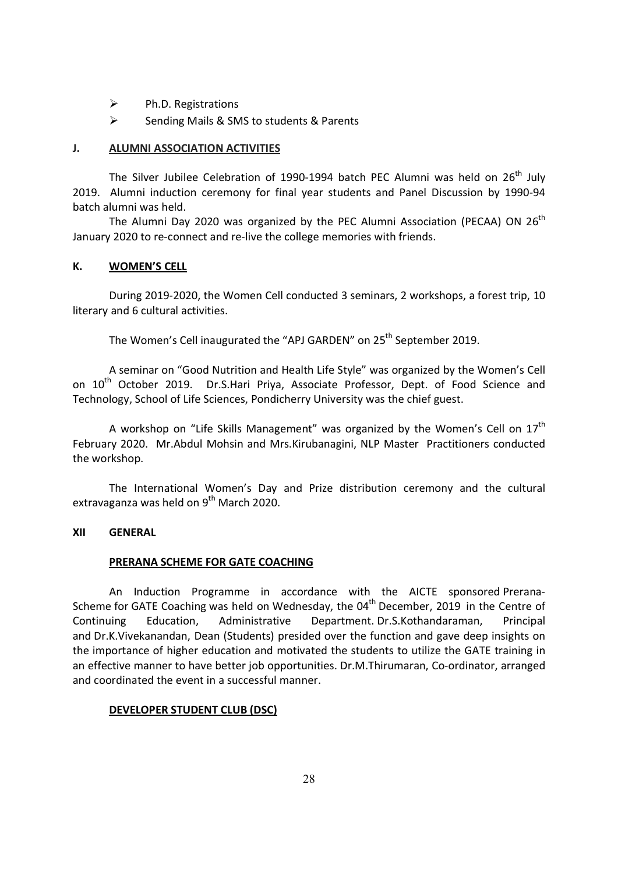- $\triangleright$  Ph.D. Registrations
- $\triangleright$  Sending Mails & SMS to students & Parents

## J. ALUMNI ASSOCIATION ACTIVITIES

The Silver Jubilee Celebration of 1990-1994 batch PEC Alumni was held on 26<sup>th</sup> July 2019. Alumni induction ceremony for final year students and Panel Discussion by 1990-94 batch alumni was held.

The Alumni Day 2020 was organized by the PEC Alumni Association (PECAA) ON 26<sup>th</sup> January 2020 to re-connect and re-live the college memories with friends.

## K. WOMEN'S CELL

 During 2019-2020, the Women Cell conducted 3 seminars, 2 workshops, a forest trip, 10 literary and 6 cultural activities.

The Women's Cell inaugurated the "APJ GARDEN" on 25<sup>th</sup> September 2019.

A seminar on "Good Nutrition and Health Life Style" was organized by the Women's Cell on 10<sup>th</sup> October 2019. Dr.S.Hari Priya, Associate Professor, Dept. of Food Science and Technology, School of Life Sciences, Pondicherry University was the chief guest.

A workshop on "Life Skills Management" was organized by the Women's Cell on  $17<sup>th</sup>$ February 2020. Mr.Abdul Mohsin and Mrs.Kirubanagini, NLP Master Practitioners conducted the workshop.

The International Women's Day and Prize distribution ceremony and the cultural extravaganza was held on  $9<sup>th</sup>$  March 2020.

## XII GENERAL

# PRERANA SCHEME FOR GATE COACHING

An Induction Programme in accordance with the AICTE sponsored Prerana-Scheme for GATE Coaching was held on Wednesday, the  $04<sup>th</sup>$  December, 2019 in the Centre of Continuing Education, Administrative Department. Dr.S.Kothandaraman, Principal and Dr.K.Vivekanandan, Dean (Students) presided over the function and gave deep insights on the importance of higher education and motivated the students to utilize the GATE training in an effective manner to have better job opportunities. Dr.M.Thirumaran, Co-ordinator, arranged and coordinated the event in a successful manner.

## DEVELOPER STUDENT CLUB (DSC)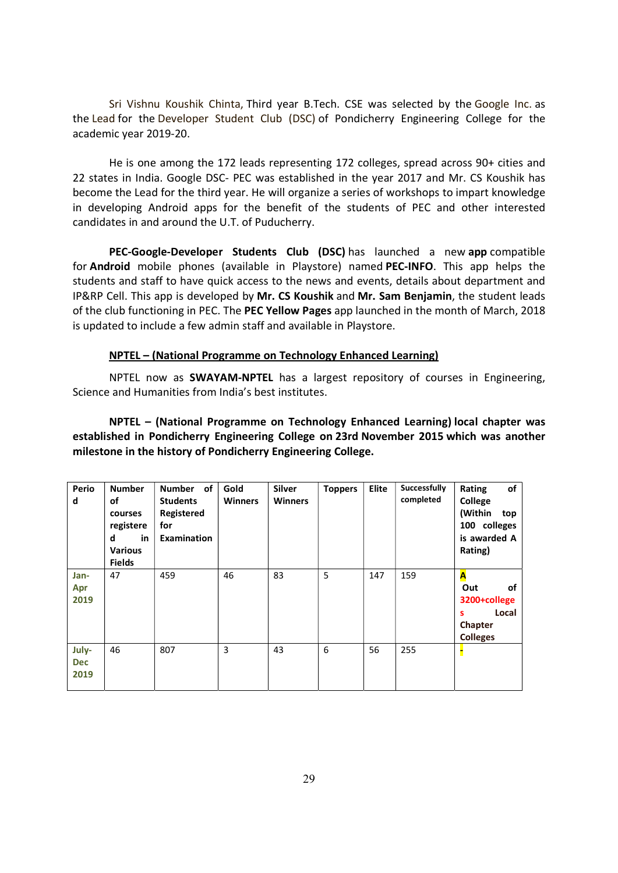Sri Vishnu Koushik Chinta, Third year B.Tech. CSE was selected by the Google Inc. as the Lead for the Developer Student Club (DSC) of Pondicherry Engineering College for the academic year 2019-20.

He is one among the 172 leads representing 172 colleges, spread across 90+ cities and 22 states in India. Google DSC- PEC was established in the year 2017 and Mr. CS Koushik has become the Lead for the third year. He will organize a series of workshops to impart knowledge in developing Android apps for the benefit of the students of PEC and other interested candidates in and around the U.T. of Puducherry.

PEC-Google-Developer Students Club (DSC) has launched a new app compatible for Android mobile phones (available in Playstore) named PEC-INFO. This app helps the students and staff to have quick access to the news and events, details about department and IP&RP Cell. This app is developed by Mr. CS Koushik and Mr. Sam Benjamin, the student leads of the club functioning in PEC. The PEC Yellow Pages app launched in the month of March, 2018 is updated to include a few admin staff and available in Playstore.

## NPTEL – (National Programme on Technology Enhanced Learning)

NPTEL now as **SWAYAM-NPTEL** has a largest repository of courses in Engineering, Science and Humanities from India's best institutes.

NPTEL – (National Programme on Technology Enhanced Learning) local chapter was established in Pondicherry Engineering College on 23rd November 2015 which was another milestone in the history of Pondicherry Engineering College.

| Perio<br>d                  | <b>Number</b><br>οf<br>courses<br>registere<br>d<br>in<br><b>Various</b><br><b>Fields</b> | Number of<br><b>Students</b><br>Registered<br>for<br><b>Examination</b> | Gold<br><b>Winners</b> | <b>Silver</b><br><b>Winners</b> | <b>Toppers</b> | Elite | <b>Successfully</b><br>completed | of<br>Rating<br>College<br>(Within<br>top<br>100 colleges<br>is awarded A<br>Rating) |
|-----------------------------|-------------------------------------------------------------------------------------------|-------------------------------------------------------------------------|------------------------|---------------------------------|----------------|-------|----------------------------------|--------------------------------------------------------------------------------------|
| Jan-<br>Apr<br>2019         | 47                                                                                        | 459                                                                     | 46                     | 83                              | 5              | 147   | 159                              | A<br>of<br>Out<br>3200+college<br>Local<br>s<br>Chapter<br><b>Colleges</b>           |
| July-<br><b>Dec</b><br>2019 | 46                                                                                        | 807                                                                     | 3                      | 43                              | 6              | 56    | 255                              |                                                                                      |